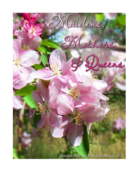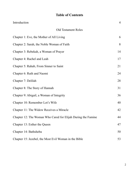# **Table of Contents**

| Introduction                                                 | $\overline{4}$ |
|--------------------------------------------------------------|----------------|
| <b>Old Testament Roles</b>                                   |                |
| Chapter 1: Eve, the Mother of All Living                     | 6              |
| Chapter 2: Sarah, the Noble Woman of Faith                   | 8              |
| Chapter 3: Rebekah, a Woman of Prayer                        | 14             |
| Chapter 4: Rachel and Leah                                   | 17             |
| Chapter 5: Rahab, From Sinner to Saint                       | 21             |
| Chapter 6: Ruth and Naomi                                    | 24             |
| Chapter 7: Delilah                                           | 28             |
| Chapter 8: The Story of Hannah                               | 31             |
| Chapter 9: Abigail, a Woman of Integrity                     | 36             |
| Chapter 10: Remember Lot's Wife                              | 40             |
| Chapter 11: The Widow Receives a Miracle                     | 42             |
| Chapter 12: The Woman Who Cared for Elijah During the Famine | 44             |
| Chapter 13: Esther the Queen                                 | 47             |
| Chapter 14: Bathsheba                                        | 50             |
| Chapter 15: Jezebel, the Most Evil Woman in the Bible        | 53             |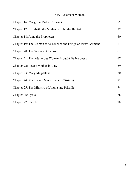## New Testament Women

| Chapter 16: Mary, the Mother of Jesus                          | 55 |
|----------------------------------------------------------------|----|
| Chapter 17: Elizabeth, the Mother of John the Baptist          | 57 |
| Chapter 18: Anna the Prophetess                                | 60 |
| Chapter 19: The Woman Who Touched the Fringe of Jesus' Garment | 61 |
| Chapter 20: The Woman at the Well                              | 63 |
| Chapter 21: The Adulterous Woman Brought Before Jesus          | 67 |
| Chapter 22: Peter's Mother-in-Law                              | 69 |
| Chapter 23: Mary Magdalene                                     | 70 |
| Chapter 24: Martha and Mary (Lazarus' Sisters)                 | 72 |
| Chapter 25: The Ministry of Aquila and Priscilla               | 74 |
| Chapter 26: Lydia                                              | 76 |
| Chapter 27: Phoebe                                             | 78 |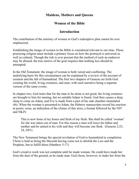### **Maidens, Mothers and Queens**

#### **Women of the Bible**

#### **Introduction**

The contribution of the ministry of women to God's redemptive plan cannot be over emphasized.

Establishing the image of women in the Bible is considered relevant to our time. Those practicing religion must include a primary focus on how the portrayal is universal as well as cultural. Though the risk is ever present that the method of such an endeavor may be abused, the true motive of the goal requires that nothing less should be attempted.

In the Old Testament, the image of woman is both varied and conflicting. The underlying basis for this circumstance can be explained by a review of the account of creation and the fall of humankind. The first two chapters of Genesis set forth God creating the world, living creatures, and man, with each narrative being a separate version of the same events.

In chapter two, God notes that for the man to be alone is not good, the living creatures are brought to him for naming, but no suitable helper is found. God then causes a deep sleep to come on Adam, and Eve is made from a part of his side chamber (translated rib). When the woman is presented to Adam, the Hebrew manuscripts record his reaction in poetic verse, an indication of the climax of this story, a format followed by the NIV and NKJV.

This is now bone of my bones and flesh of my flesh. She shall be called 'woman' for she was taken out of man. For this reason a man will leave his father and mother and be united to his wife and they will become one flesh. (Genesis 2:23, 24, NIV)

The New Testament brings the special revelation of God to humankind to completion. Christ is held as being the Messiah having come not to abolish the Law and the Prophets, but to fulfill them (Matthew 5:17)

God's creative work was not complete until he made woman. He could have made her from the dust of the ground, as he made man. God chose, however, to make her from the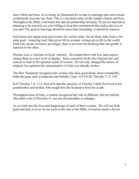man's flesh and bone. In so doing, he illustrated for us that in marriage man and woman symbolically become one flesh. This is a mystical union of the couple's hearts and lives. Throughout the Bible, God treats this special partnership seriously. If you are married or planning to be married, are you willing to keep the commitment that makes the two of you one? The goal in marriage should be more than friendship; it should be oneness.

God forms and equips men and women for various tasks, but all these tasks lead to the same goal—honoring God. Man gives life to woman; woman gives life to the world. Each role carries exclusive privileges; there is no room for thinking that one gender is superior to the other.

Women were a vital part of Jesus' ministry. He treated them with love and respect, raising them to a new level of dignity. Jesus constantly broke the religious law and custom to look to the spiritual needs of women. He not only changed the nature of religion, he explained the interpretation of what was already written.

The New Testament recognizes the woman who does good deeds, shows hospitality, helps the poor, and is temperate and faithful. (Acts 16:15:9:36; Timothy 3:11; 5:9)

In II Timothy 1:5; 3:15, Paul tells that the sincerity of Timothy's faith first lived in his grandmother and mother, who taught him the Scriptures from his youth.

Throughout most of time, a woman recognized her role as different, but not inferior. The noble wife of Proverbs 31 was not downtrodden or unhappy.

As we look into the lives and happenings of each of these woman. We will see both good and bad, even as we see such in the men of the Bible. Everyone needs a Savior.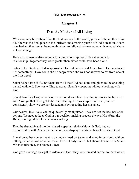### **Old Testament Roles**

# **Chapter 1**

## **Eve, the Mother of All Living**

We know very little about Eve, the first woman in the world, yet she is the mother of us all. She was the final piece in the intricate and amazing puzzle of God's creation. Adam now had another human being with whom to fellowship—someone with an equal share in God's image.

Here was someone alike enough for companionship, yet different enough for relationship. Together they were greater than either could have been alone.

Satan in the Garden of Eden approached Eve where she and Adam lived. He questioned her contentment. How could she be happy when she was not allowed to eat from one of the fruit trees?

Satan helped Eve shifts her focus from all that God had done and given to the one thing he had withheld. Eve was willing to accept Satan's viewpoint without checking with God.

Sound familiar? How often is our attention drawn from that that is ours to the little that isn't? We get that "I've got to have it," feeling. Eve was typical of us all, and we consistently show we are her descendants by repeating her mistakes.

Our desires, like Eve's, can be quite easily manipulated. They are not the best basis for actions. We need to keep God in our decision-making process always. His Word, the Bible, is our guidebook in decision-making.

Eve, the first wife and mother shared a special relationship with God, had coresponsibility with Adam over creation, and displayed certain characteristics of God

She allowed her contentment to be undermined by Satan, and acted impulsively without talking either to God or to her mate. Eve not only sinned, but shared her sin with Adam. When confronted, she blamed others.

God gave marriage as a gift to Adam and Eve. They were created perfect for each other.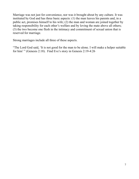Marriage was not just for convenience, nor was it brought about by any culture. It was instituted by God and has three basic aspects: (1) the man leaves his parents and, in a public act, promises himself to his wife; (2) the man and woman are joined together by taking responsibility for each other's welfare and by loving the mate above all others; (3) the two become one flesh in the intimacy and commitment of sexual union that is reserved for marriage.

Strong marriages include all three of these aspects.

"The Lord God said, 'It is not good for the man to be alone. I will make a helper suitable for him'" (Genesis 2:18). Find Eve's story in Genesis 2:19-4:26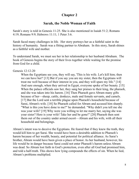#### **Sarah, the Noble Woman of Faith**

Sarah's story is told in Genesis 11-25. She is also mentioned in Isaiah 51:2; Romans 4:19; Romans 9:9; Hebrews 11:11; 1 Peter 3:6.

Sarah faced many challenges in life. Her story portrays her as a faithful saint in the history of humanity. Sarah was a fitting partner to Abraham. In this story, Sarah shines as a faithful wife and mother.

To understand Sarah, we must see her in her relationship to her husband Abraham. The book of Genesis begins the story of their lives together while waiting for the promise from God for a child.

#### Genesis 12:12-20

When the Egyptians see you, they will say, 'This is his wife. Let's kill him; then we can have her!' [13] But if you say you are my sister, then the Egyptians will treat me well because of their interest in you, and they will spare my life." [14] And sure enough, when they arrived in Egypt, everyone spoke of her beauty. [15] When the palace officials saw her, they sang her praises to their king, the pharaoh, and she was taken into his harem. [16] Then Pharaoh gave Abram many gifts because of her—sheep, cattle, donkeys, male and female servants, and camels. [17] But the Lord sent a terrible plague upon Pharaoh's household because of Sarai, Abram's wife. [18] So Pharaoh called for Abram and accused him sharply. "What is this you have done to me?" he demanded. "Why didn't you tell me she was your wife? [19] Why were you willing to let me marry her, saying she was your sister? Here is your wife! Take her and be gone!" [20] Pharaoh then sent them out of the country under armed escort—Abram and his wife, with all their household and belongings.

Abram's intent was to deceive the Egyptians. He feared that if they knew the truth, they would kill him to get Sarai. She would have been a desirable addition to Pharaoh's harem because of her wealth, beauty, and potential for political alliance. As Sarai's brother, Abram would have been given a place of honor. As her husband, however, his life would be in danger because Sarai could not enter Pharaoh's harem unless Abram was dead. So Abram lost faith in God's protection, even after all God had promised him, and told a half-truth. This shows how lying compounds the effects of sin. When he lied, Abram's problems multiplied.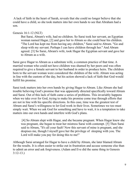A lack of faith in the heart of Sarah, reveals that she could no longer believe that she could have a child, so she took matters into her own hands to see that Abraham had a son.

#### Genesis 16:1-12 (NLT)

But Sarai, Abram's wife, had no children. So Sarai took her servant, an Egyptian woman named Hagar, [2] and gave her to Abram so she could bear his children. "The Lord has kept me from having any children," Sarai said to Abram. "Go and sleep with my servant. Perhaps I can have children through her." And Abram agreed. [3] So Sarai, Abram's wife, took Hagar the Egyptian servant and gave her to Abram as a wife.

Sarai gave Hagar to Abram as a substitute wife, a common practice of that time. A married woman who could not have children was shamed by her peers and was often required to give a female servant to her husband in order to produce heirs. The children born to the servant woman were considered the children of the wife. Abram was acting in line with the custom of the day, but his action showed a lack of faith that God would fulfill his promise.

Sarai took matters into her own hands by giving Hagar to Abram. Like Abram she had trouble believing God's promise that was apparently directed specifically toward Abram and Sarai. Out of this lack of faith came a series of problems. This invariably happens when we take over for God, trying to make his promise come true through efforts that are not in line with his specific directions. In this case, time was the greatest test of Abram and Sarai's willingness to let God work in their lives. Sometimes we too must simply wait. When we ask God for something and have to wait, it is a temptation to take matters into our own hands and interfere with God's plans.

 [4] So Abram slept with Hagar, and she became pregnant. When Hagar knew she was pregnant, she began to treat her mistress Sarai with contempt. [5] Then Sarai said to Abram, "It's all your fault! Now this servant of mine is pregnant, and she despises me, though I myself gave her the privilege of sleeping with you. The Lord will make you pay for doing this to me!"

Although Sarai arranged for Hagar to have a child by Abram, she later blamed Abram for the results. It is often easier to strike out in frustration and accuse someone else than to admit an error and ask forgiveness. (Adam and Eve did the same thing in Genesis 3:12-13.)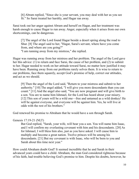[6] Abram replied, "Since she is your servant, you may deal with her as you see fit." So Sarai treated her harshly, and Hagar ran away.

Sarai took out her anger against Abram and herself on Hagar, and her treatment was harsh enough to cause Hagar to run away. Anger, especially when it arises from our own shortcomings, can be dangerous.

[7] The angel of the Lord found Hagar beside a desert spring along the road to Shur. [8] The angel said to her, "Hagar, Sarai's servant, where have you come from, and where are you going?"

"I am running away from my mistress," she replied.

Hagar was running away from her mistress and her problem. The angel of the Lord gave her this advice: (1) to return and face Sarai, the cause of her problem, and (2) to submit to her. Hagar needed to work on her attitude toward Sarai, no matter how justified it may have been. Running away from our problems rarely solves them. It is wise to return to our problems, face them squarely, accept God's promise of help, correct our attitudes, and act as we should.

[9] Then the angel of the Lord said, "Return to your mistress and submit to her authority." [10] The angel added, "I will give you more descendants than you can count." [11] And the angel also said, "You are now pregnant and will give birth to a son. You are to name him Ishmael, for the Lord has heard about your misery. [12] This son of yours will be a wild one—free and untamed as a wild donkey! He will be against everyone, and everyone will be against him. Yes, he will live at odds with the rest of his brothers."

God renewed his promise to Abraham that he would have a son through Sarah.

#### Genesis 17:19-21 (NLT)

But God replied, "Sarah, your wife, will bear you a son. You will name him Isaac, and I will confirm my everlasting covenant with him and his descendants. [20] As for Ishmael, I will bless him also, just as you have asked. I will cause him to multiply and become a great nation. Twelve princes will be among his descendants. [21] But my covenant is with Isaac, who will be born to you and Sarah about this time next year."

How could Abraham doubt God? It seemed incredible that he and Sarah in their advanced years could have a child. Abraham, the man God considered righteous because of his faith, had trouble believing God's promise to him. Despite his doubts, however, he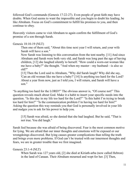followed God's commands (Genesis 17:22-27). Even people of great faith may have doubts. When God seems to want the impossible and you begin to doubt his leading, be like Abraham. Focus on God's commitment to fulfill his promises to you, and then continue to obey.

Heavenly visitors came to visit Abraham to again confirm the fulfillment of God's promise of a son through Sarah.

#### Genesis 18:10-19 (NLT)

Then one of them said, "About this time next year I will return, and your wife Sarah will have a son."

Now Sarah was listening to this conversation from the tent nearby. [11] And since Abraham and Sarah were both very old, and Sarah was long past the age of having children, [12] she laughed silently to herself. "How could a worn-out woman like me have a baby?" she thought. "And when my master—my husband—is also so old?"

[13] Then the Lord said to Abraham, "Why did Sarah laugh? Why did she say, 'Can an old woman like me have a baby?' [14] Is anything too hard for the Lord? About a year from now, just as I told you, I will return, and Sarah will have a son."

"Is anything too hard for the LORD?" The obvious answer is, "Of course not!" This question reveals much about God. Make it a habit to insert your specific needs into the question. "Is this day in my life too hard for the Lord?" "Is this habit I'm trying to break too hard for him?" "Is the communication problem I'm having too hard for him?" Asking the question this way reminds you that God is personally involved in your life and nudges you to ask for his power to help you.

[15] Sarah was afraid, so she denied that she had laughed. But he said, "That is not true. You did laugh."

Sarah lied because she was afraid of being discovered. Fear is the most common motive for lying. We are afraid that our inner thoughts and emotions will be exposed or our wrongdoings discovered. But lying causes greater complications than telling the truth and brings even more problems. If God can't be trusted with our innermost thoughts and fears, we are in greater trouble than we first imagined.

#### Genesis 23:1-4 (NLT)

When Sarah was 127 years old, [2] she died at Kiriath-arba (now called Hebron) in the land of Canaan. Their Abraham mourned and wept for her. [3] Then,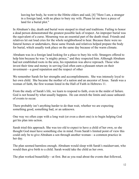leaving her body, he went to the Hittite elders and said, [4] "Here I am, a stranger in a foreign land, with no place to bury my wife. Please let me have a piece of land for a burial plot."

In Abraham's day, death and burial were steeped in ritual and traditions. Failing to honor a dead person demonstrated the greatest possible lack of respect. An improper burial was the equivalent of a curse. Mourning was an essential part of the death ritual. Friends and relatives let out loud cries for the whole neighborhood to hear. Because there were no funeral homes or undertakers, these same friends and relatives helped prepare the body for burial, which usually took place on the same day because of the warm climate.

Abraham was in a foreign land looking for a place to bury his wife. Strangers offered to help him because he was "a mighty prince," and they respected him. Although Abraham had not established roots in the area, his reputation was above reproach. Those who invest their time and money in serving God often earn a pleasant return on their investment—a good reputation and the respect of other

We remember Sarah for her strengths and accomplishments. She was intensely loyal to her own child. She became the mother of a nation and an ancestor of Jesus. Sarah was a woman of faith, the first woman listed in the Hall of Faith in Hebrews 11.

From the study of Sarah's life, we learn to respond to faith, even in the midst of failure. God is not bound by what usually happens. He can stretch the limits and cause unheardof events to occur.

There probably isn't anything harder to do than wait, whether we are expecting something good, something bad, or an unknown.

One way we often cope with a long wait (or even a short one) is to begin helping God get his plan into action.

Sarah tried this approach. She was too old to expect to have a child of her own, so she thought God must have something else in mind. From Sarah's limited point of view this could only be to give Abraham a son through another woman—a common practice in her day.

The plan seemed harmless enough. Abraham would sleep with Sarah's maidservant, who would then give birth to a child. Sarah would take the child as her own.

The plan worked beautifully—at first. But as you read about the events that followed,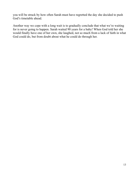you will be struck by how often Sarah must have regretted the day she decided to push God's timetable ahead.

Another way we cope with a long wait is to gradually conclude that what we're waiting for is never going to happen. Sarah waited 90 years for a baby! When God told her she would finally have one of her own, she laughed, not so much from a lack of faith in what God could do, but from doubt about what he could do through her.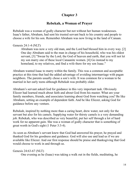### **Rebekah, a Woman of Prayer**

Rebekah was a woman of godly character but not without her human weaknesses. Isaac's father, Abraham, had sent his trusted servant back to his country and people to choose a wife for his son. Remember Abraham was now living in the land of Canaan.

#### Genesis 24:1-4 (NLT)

Abraham was now a very old man, and the Lord had blessed him in every way. [2] One day Abraham said to the man in charge of his household, who was his oldest servant, [3] "Swear by the Lord, the God of heaven and earth, that you will not let my son marry one of these local Canaanite women. [4] Go instead to my homeland, to my relatives, and find a wife there for my son Isaac."

Abraham wanted Isaac to marry within the family. This was a common and acceptable practice at this time that had the added advantage of avoiding intermarriage with pagan neighbors. The parents usually chose a son's wife. It was common for a woman to be married in her early teens although Rebekah was probably older.

Abraham's servant asked God for guidance in this very important task. Obviously Eliezer had learned much about faith and about God from his master. What are your family members, friends, and associates learning about God from watching you? Be like Abraham, setting an example of dependent faith. And be like Eliezer, asking God for guidance before any venture.

Rebekah, inspired by nothing more than a caring heart, drew water, not only for the servant but also for his camels. Supplying water for thirsty camels is a very demanding job. Rebekah, who was described as very beautiful, put her self through a lot of hard work for no apparent gain. She was a woman of godly character that is something of great worth in God's sight (1 Peter 3:3-4).

As soon as Abraham's servant knew that God had answered his prayer, he prayed and thanked God for his goodness and guidance. God will also use and lead us if we are available like Eliezer. And our first response should be praise and thanksgiving that God would choose to work in and through us.

#### Genesis 24:63-67 (NLT)

One evening as he (Isaac) was taking a walk out in the fields, meditating, he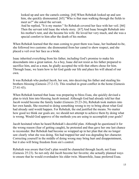looked up and saw the camels coming. [64] When Rebekah looked up and saw him, she quickly dismounted. [65] "Who is that man walking through the fields to meet us?" she asked the servant.

And he replied, "It is my master." So Rebekah covered her face with her veil. [66] Then the servant told Isaac the whole story. [67] And Isaac brought Rebekah into his mother's tent, and she became his wife. He loved her very much, and she was a special comfort to him after the death of his mother.

When Rebekah learned that the man coming to greet them was Isaac, her husband-to-be, she followed two customs: she dismounted from her camel to show respect, and she placed a veil over her face as a bride.

Isaac inherited everything from his father, including God's promise to make his descendants into a great nation. As a boy, Isaac did not resist as his father prepared to sacrifice him, and as a man, he gladly accepted the wife that others chose for him. Through Isaac, we learn how to let God guide our life and place his will ahead of our own.

It was Rebekah who pushed Jacob, her son, into deceiving his father and stealing his brothers blessing (Genesis 27:2-13). This resulted in great conflict in the home (Genesis 27:41-43).

When Rebekah learned that Isaac was preparing to bless Esau, she quickly devised a plan to trick him into blessing Jacob instead. Although God had already told her that Jacob would become the family leader (Genesis 25:23-26), Rebekah took matters into her own hands. She resorted to doing something wrong to try to bring about what God had already said would happen. For Rebekah, the end justified the means. No matter how good we think our goals are, we should not attempt to achieve them by doing what is wrong. Would God approve of the methods you are using to accomplish your goals?

Jacob hesitated when he heard Rebekah's deceitful plan. Although he questioned it for the wrong reason (fear of getting caught), he protested and thus gave her one last chance to reconsider. But Rebekah had become so wrapped up in her plan that she no longer saw clearly what she was doing. Sin had trapped her and was degrading her character. Correcting yourself in the middle of doing wrong may bring hurt and disappointment, but it also will bring freedom from sin's control.

Rebekah was aware that God's plan would be channeled through Jacob, not Esau (Genesis 25:23). So not only did Jacob become her favorite; she actually planned ways to ensure that he would overshadow his older twin. Meanwhile, Isaac preferred Esau.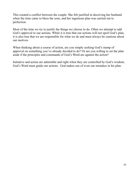This created a conflict between the couple. She felt justified in deceiving her husband when the time came to bless the sons, and her ingenious plan was carried out to perfection.

Most of the time we try to justify the things we choose to do. Often we attempt to add God's approval to our actions. While it is true that our actions will not spoil God's plan, it is also true that we are responsible for what we do and must always be cautious about our motives.

When thinking about a course of action, are you simply seeking God's stamp of approval on something you've already decided to do? Or are you willing to set the plan aside if the principles and commands of God's Word are against the action?

Initiative and action are admirable and right when they are controlled by God's wisdom. God's Word must guide our actions. God makes use of even our mistakes in his plan.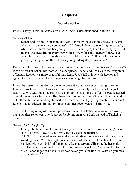### **Rachel and Leah**

Rachel's story is told in Genesis 29:1-35:20. She is also mentioned in Ruth 4:11.

#### Genesis 29:15-18

Laban said to him, "You shouldn't work for me without pay just because we are relatives. How much do you want?" [16] Now Laban had two daughters: Leah, who was the oldest, and her younger sister, Rachel. [17] Leah had pretty eyes, but Rachel was beautiful in every way, with a lovely face and shapely figure. [18] Since Jacob was in love with Rachel, he told her father, "I'll work for you seven years if you'll give me Rachel, your younger daughter, as my wife."

Rachel and Leah were the wives of Jacob. After running away from his sins (Genesis 27) Jacob arrived at Laban, his mother's brother place. Rachel and Leah were the daughters of Laban. Rachel was more beautiful than Leah. Jacob fell in love with Rachel and agreed to work for Laban for seven years in exchange for marrying her.

It was the custom of the day for a man to present a dowry, or substantial gift, to the family of his future wife. This was to compensate the family for the loss of the girl. Jacob's dowry was not a material possession, for he had none to offer. Instead he agreed to work seven years for Laban. But there was another custom of the land that Laban did not tell Jacob. The older daughter had to be married first. By giving Jacob Leah and not Rachel, Laban tricked him into promising another seven years of hard work.

This was the beginning of Rachel's problems. Laban, her father, was not a trust worthy man and after seven years he deceived Jacob into marrying Leah instead of Rachel as promised.

Genesis 29:21-28 (NLT)

Finally, the time came for him to marry her. "I have fulfilled my contract," Jacob said to Laban. "Now give me my wife so we can be married." [22] So Laban invited everyone in the neighborhood to celebrate with Jacob at a wedding feast. [23] That night, when it was dark, Laban took Leah to Jacob, and he slept with her. [24] And Laban gave Leah a servant, Zilpah, to be her maid. [25] But when Jacob woke up in the morning—it was Leah! "What sort of trick is this?" Jacob raged at Laban. "I worked seven years for Rachel. What do you mean by this trickery?"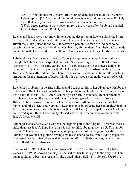[26] "It's not our custom to marry off a younger daughter ahead of the firstborn," Laban replied. [27] "Wait until the bridal week is over, and you can have Rachel, too—that is, if you promise to work another seven years for me." [28] So Jacob agreed to work seven more years. A week after Jacob had married Leah, Laban gave him Rachel, too.

Rachel and Jacob were very much in love but the deception of Rachel's father had hurt her badly. It produced hurt and bitterness in her heart that she never really overcame. Bitterness is like poison to the soul. It destroys a person. Women of God need to be careful of the hurts and emotional wounds that may follow them from their backgrounds and childhood. These need to be dealt with. Only Jesus can heal these kinds of aliments.

Laban's dowry from Jacob (14 years of labor) was quite expensive. Rachel rightly thought that she had been exploited and sold. She never forgave her father for this (Genesis 31: 4 -18). The same can be said of Leah. Because of her father's actions in deceiving Jacob into marrying Leah, Rachel had to share her husband with her sister. Her father's sins affected her life. There was constant trouble in the home. Both sisters struggling for the attention of Jacob. Childbirth was used as the main weapon (Genesis 30).

Rachel had problems in bearing children and Leah used this to her advantage. Maybe the bitterness in Rachel's heart contributed to her problem in childbirth. God eventually gave her a child (Genesis 30:22) After Leah had given birth to four sons, Rachel remained unable to conceive. She became jealous of Leah and gave Jacob her maidservant, Bilhah, to be a surrogate mother for her. Bilhah gave birth to two sons that Rachel named and raised (Dan and Naphtali). Leah responds by offering her handmaid Zilpah to Jacob, and names and raises the two sons (Gad and Asher) that Zilpah bears. After Leah conceived again, Rachel was finally blessed with a son, Joseph, who would become Jacob's favorite child.

Although Jacob was tricked by Laban, he kept his part of the bargain. There was more at stake than just Jacob's hurt. There was Rachel to think about, as well as God's plan for his life. When we are tricked by others, keeping our part of the bargain may still be wise. Nursing our wounds or plotting revenge makes us unable to see from God's perspective. The lesson we learn from here is that we cannot afford to harbor unforgiveness in our hearts. It will only destroy us.

The remarks of Rachel and Leah in Genesis 31: 14 - 16 and the actions of Rachel in Genesis 31: 19, 35 showed the disgust she had for her father right to the very end. This again could have been the reason for the tragedy that befell her in Genesis 35: 16-19.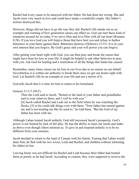Rachel had every cause to be annoyed with her father. He had done her wrong. She and Jacob were very much in love and could have made a wonderful couple. Her father's actions destroyed this.

However, things did not have to go the way they did. Rachel's life stands out as an example and warning of how generation curses can affect us. God can turn these kind of situations around for us today if we serve Him and love Him with all our heart (Romans 8:28). If you love God you will forgive those that have hurt you and refuse to harbor bitterness in your heart against them. Bitterness destroys (Hebrews 12:15). It is in your own interest that you forgive. By God's grace and your will power you can forgive.

After getting your heart right with God, you can then pray and break the curses that might have been let lose in your life. It might be helpful to ask other believers to pray with you. Ask God for healing and a restoration of all the things that Satan has caused.

Remember, many times curses are let lose in our lives due to no reason on our behalf. Nevertheless it is within our authority to break them once we get our hearts right with God. Let Rachel's life be an example to your life and not a mirror of it.

God tells Jacob that it is time for him to return to his homeland.

#### Genesis 31:3-5 (NLT)

Then the Lord said to Jacob, "Return to the land of your father and grandfather and to your relatives there, and I will be with you."

[4] Jacob called Rachel and Leah out to the field where he was watching the flocks, [5] so he could talk things over with them. "Your father has turned against me and is not treating me like he used to," he told them. "But the God of my father has been with me.

Although Laban treated Jacob unfairly, God still increased Jacob's prosperity. God's power is not limited by lack of fair play. He has the ability to meet our needs and make us thrive even though others mistreat us. To give in and respond unfairly is to be no different from your enemies.

Jacob decided to return to the land of Canaan with his family. Fearing that Laban would deter him, he fled with his two wives, Leah and Rachel, and children without informing his father-in-law.

Leaving home was not difficult for Rachel and Leah because their father had treated them as poorly as he had Jacob. According to custom, they were supposed to receive the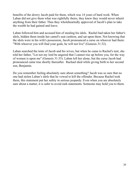benefits of the dowry Jacob paid for them, which was 14 years of hard work. When Laban did not give them what was rightfully theirs, they knew they would never inherit anything from their father. Thus they wholeheartedly approved of Jacob's plan to take the wealth he had gained and leave.

Laban followed him and accused him of stealing his idols. Rachel had taken her father's idols, hidden them inside her camel's seat cushion, and sat upon them. Not knowing that the idols were in his wife's possession, Jacob pronounced a curse on whoever had them: "With whoever you will find your gods, he will not live" (Genesis 31:32).

Laban searched the tents of Jacob and his wives, but when he came to Rachel's tent, she told her father, "Let not my lord be angered that I cannot rise up before you, for the way of women is upon me" (Genesis 31:35). Laban left her alone, but the curse Jacob had pronounced came true shortly thereafter. Rachael died while giving birth to her second son, Benjamin.

Do you remember feeling absolutely sure about something? Jacob was so sure that no one had stolen Laban's idols that he vowed to kill the offender. Because Rachel took them, this statement put her safety in serious jeopardy. Even when you are absolutely sure about a matter, it is safer to avoid rash statements. Someone may hold you to them.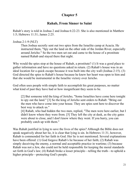### **Rahab, From Sinner to Saint**

Rahab's story is told in Joshua 2 and Joshua 6:22-23. She is also mentioned in Matthew 1:5; Hebrews 11:31; James 2:25.

Joshua 2:1-9 (NLT)

Then Joshua secretly sent out two spies from the Israelite camp at Acacia. He instructed them, "Spy out the land on the other side of the Jordan River, especially around Jericho." So the two men set out and came to the house of a prostitute named Rahab and stayed there that night.

Why would the spies stop at the house of Rahab, a prostitute? (1) It was a good place to gather information and have no questions asked in return. (2) Rahab's house was in an ideal location for a quick escape because it was built into the city wall (Joshua 2:15). (3) God directed the spies to Rahab's house because he knew her heart was open to him and that she would be instrumental in the Israelite victory over Jericho.

God often uses people with simple faith to accomplish his great purposes, no matter what kind of past they have had or how insignificant they seem to be.

[2] But someone told the king of Jericho, "Some Israelites have come here tonight to spy out the land." [3] So the king of Jericho sent orders to Rahab: "Bring out the men who have come into your house. They are spies sent here to discover the best way to attack us."

[4] Rahab, who had hidden the two men, replied, "The men were here earlier, but I didn't know where they were from. [5] They left the city at dusk, as the city gates were about to close, and I don't know where they went. If you hurry, you can probably catch up with them."

Was Rahab justified in lying to save the lives of the spies? Although the Bible does not speak negatively about her lie, it is clear that lying is sin. In Hebrews 11:31, however, Rahab is commended for her faith in God. Her lie is not mentioned. Several explanations have been offered: (1) God forgave Rahab's lie because of her faith; (2) Rahab was simply deceiving the enemy, a normal and acceptable practice in wartime; (3) because Rahab was not a Jew, she could not be held responsible for keeping the moral standards set forth in God's law; (4) Rahab broke a lesser principle—telling the truth—to uphold a higher principle—protecting God's people.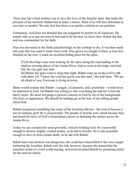There may have been another way to save the lives of the Israelite spies. But under the pressure of the moment, Rahab had to make a choice. Most of us will face dilemmas at one time or another. We may feel that there is no perfect solution to our problem.

Fortunately, God does not demand that our judgment be perfect in all situations. He simply asks us to put our trust in him and to do the best we know how. Rahab did that and was commended for her faith.

Flax was harvested in the fields and piled high on the rooftops to dry. It was then made into yarn that was used to make linen cloth. Flax grows to a height of three or four feet. Stacked on the roof, it made an excellent hiding place for the spies.

[7] So the king's men went looking for the spies along the road leading to the shallow crossing places of the Jordan River. And as soon as the king's men had left, the city gate was shut.

[8] Before the spies went to sleep that night, Rahab went up on the roof to talk with them. [9] "I know the Lord has given you this land," she told them. "We are all afraid of you. Everyone is living in terror.

Many would assume that Rahab—a pagan, a Canaanite, and a prostitute—would never be interested in God. Yet Rahab was willing to risk everything she had for a God she barely knew. We must not gauge a person's interest in God by his or her background, life-style, or appearance. We should let nothing get in the way of our telling people about God.

Rahab recognized something that many of the Israelites did not—the God of heaven is not an ordinary god! He is all-powerful. The people of Jericho were afraid because they had heard the news of God's extraordinary power in defeating the armies across the Jordan River.

Today we can worship this same powerful, miracle-working God. He is powerful enough to destroy mighty, wicked armies, as he did in Jericho. He is also powerful enough to save us from certain death, as he did with Rahab.

Rahab knew her position was dangerous; she could have been killed if she were caught harboring the Israelites. Rahab took the risk, however, because she sensed that the Israelites relied on a God worth trusting. And God rewarded Rahab by promising safety for her and her family.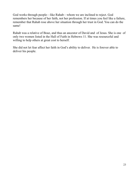God works through people—like Rahab—whom we are inclined to reject. God remembers her because of her faith, not her profession. If at times you feel like a failure, remember that Rahab rose above her situation through her trust in God. You can do the same!

Rahab was a relative of Boaz, and thus an ancestor of David and of Jesus. She is one of only two women listed in the Hall of Faith in Hebrews 11. She was resourceful and willing to help others at great cost to herself.

She did not let fear affect her faith in God's ability to deliver. He is forever able to deliver his people.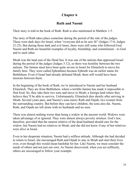## **Ruth and Naomi**

Their story is told in the book of Ruth. Ruth is also mentioned in Matthew 1:5.

The story of Ruth takes place sometime during the period of the rule of the judges. These were dark days for Israel, when "everyone did as he saw fit" (Judges 17:6; Judges 21:25). But during those dark and evil times, there were still some who followed God. Naomi and Ruth are beautiful examples of loyalty, friendship, and commitment—to God and to each other.

Moab was the land east of the Dead Sea. It was one of the nations that oppressed Israel during the period of the judges (Judges 3:12), so there was hostility between the two nations. The famine must have been quite severe in Israel for Elimelech to move his family here. They were called Ephrathites because Ephrath was an earlier name for Bethlehem. Even if Israel had already defeated Moab, there still would have been tensions between them.

In the beginning of the book of Ruth, we're introduced to Naomi and her husband Elimelech. They are from Bethlehem, where a terrible famine has made it impossible to find food. So, they take their two sons and move to Moab, a foreign land where they believe they'll be able to survive. Unfortunately, Elimelech dies shortly after arriving in Moab. Several years pass, and Naomi's sons marry Ruth and Orpah, two women from the surrounding country. But before they can have children, the sons also die. Naomi, Ruth, and Orpah are left alone with no husbands and no sons.

There was almost nothing worse than being a widow in the ancient world. Widows were taken advantage of or ignored. They were almost always poverty stricken. God's law, therefore, provided that the nearest relative of the dead husband should care for the widow; but Naomi had no relatives in Moab, and she did not know if any of her relatives were alive in Israel.

Even in her desperate situation, Naomi had a selfless attitude. Although she had decided to return to Israel, she encouraged Ruth and Orpah to stay in Moab and start their lives over, even though this would mean hardship for her. Like Naomi, we must consider the needs of others and not just our own. As Naomi discovered, when you act selflessly, others are encouraged to follow your example.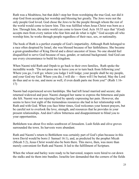Ruth was a Moabitess, but that didn't stop her from worshiping the true God, nor did it stop God from accepting her worship and blessing her greatly. The Jews were not the only people God loved. God chose the Jews to be the people through whom the rest of the world would come to know him. This was fulfilled when Jesus Christ was born as a Jew. Through him, the entire world can come to know God. Acts 10:35 says that "(God) accepts men from every nation who fear him and do what is right." God accepts all who worship him; he works through people regardless of their race, sex, or nationality.

The book of Ruth is a perfect example of God's impartiality. Although Ruth belonged to a race often despised by Israel, she was blessed because of her faithfulness. She became a great-grandmother of King David and a direct ancestor of Jesus. No one should feel disqualified to serve God because of race, gender, or national background. And God can use every circumstance to build his kingdom.

When Naomi told Ruth and Orpah to go back to their own families, Ruth spoke the incredible words "Do not press me to leave you or to turn back from following you! Where you go, I will go; where you lodge I will lodge; your people shall be my people, and your God my God. Where you die, I will die — there will I be buried. May the Lord do thus and so to me, and more as well, if even death parts me from you!" (Ruth 1:16- 17)

Naomi had experienced severe hardships. She had left Israel married and secure; she returned widowed and poor. Naomi changed her name to express the bitterness and pain she felt. Naomi was not rejecting God by openly expressing her pain. However, she seems to have lost sight of the tremendous resources she had in her relationship with Ruth and with God. When you face bitter times, God welcomes your honest prayers, but be careful not to overlook the love, strength, and resources that he provides in your present relationships. And don't allow bitterness and disappointment to blind you to your opportunities.

Bethlehem was about five miles southwest of Jerusalem. Lush fields and olive groves surrounded the town. Its harvests were abundant.

Ruth and Naomi's return to Bethlehem was certainly part of God's plan because in this town David would be born (1 Samuel 16:1), and, as predicted by the prophet Micah (Micah 5:2), Jesus Christ would also be born there. This move, then, was more than merely convenient for Ruth and Naomi. It led to the fulfillment of Scripture.

When the wheat and barley were ready to be harvested, reapers were hired to cut down the stalks and tie them into bundles. Israelite law demanded that the corners of the fields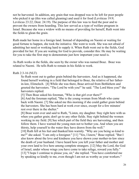not be harvested. In addition, any grain that was dropped was to be left for poor people who picked it up (this was called gleaning) and used it for food (Leviticus 19:9; Leviticus 23:22; Deut. 24:19). The purpose of this law was to feed the poor and to prevent the owners from hoarding. This law served as a type of welfare program in Israel. Because she was a widow with no means of providing for herself, Ruth went into the fields to glean the grain.

Ruth made her home in a foreign land. Instead of depending on Naomi or waiting for good fortune to happen, she took the initiative. She went to work. She was not afraid of admitting her need or working hard to supply it. When Ruth went out to the fields, God provided for her. If you are waiting for God to provide, consider this: He may be waiting for you to take the first step to demonstrate just how important your need is.

As Ruth works in the fields, she seen by the owner who was named Boaz. Boaz was related to Naomi. He tells Ruth to remain in his fields to work.

#### Ruth 2:3-16 (NLT)

So Ruth went out to gather grain behind the harvesters. And as it happened, she found herself working in a field that belonged to Boaz, the relative of her fatherin-law, Elimelech. [4] While she was there, Boaz arrived from Bethlehem and greeted the harvesters. "The Lord be with you!" he said. "The Lord bless you!" the harvesters replied.

[5] Then Boaz asked his foreman, "Who is that girl over there?"

[6] And the foreman replied, "She is the young woman from Moab who came back with Naomi. [7] She asked me this morning if she could gather grain behind the harvesters. She has been hard at work ever since, except for a few minutes' rest over there in the shelter."

[8] Boaz went over and said to Ruth, "Listen, my daughter. Stay right here with us when you gather grain; don't go to any other fields. Stay right behind the women working in my field. [9] See which part of the field they are harvesting, and then follow them. I have warned the young men not to bother you. And when you are thirsty, help yourself to the water they have drawn from the well."

[10] Ruth fell at his feet and thanked him warmly. "Why are you being so kind to me?" she asked. "I am only a foreigner." [11] "Yes, I know," Boaz replied. "But I also know about the love and kindness you have shown your mother-in-law since the death of your husband. I have heard how you left your father and mother and your own land to live here among complete strangers. [12] May the Lord, the God of Israel, under whose wings you have come to take refuge, reward you fully." [13] "I hope I continue to please you, sir," she replied. "You have comforted me by speaking so kindly to me, even though I am not as worthy as your workers."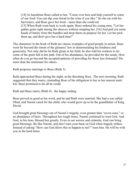[14] At lunchtime Boaz called to her, "Come over here and help yourself to some of our food. You can dip your bread in the wine if you like." So she sat with his harvesters, and Boaz gave her food—more than she could eat [15] When Ruth went back to work again, Boaz ordered his young men, "Let her gather grain right among the sheaves without stopping her. [16] And pull out some heads of barley from the bundles and drop them on purpose for her. Let her pick them up, and don't give her a hard time!"

The characters in the book of Ruth are classic examples of good people in action. Boaz went far beyond the intent of the gleaners' law in demonstrating his kindness and generosity. Not only did he let Ruth glean in his field, he also told his workers to let some of the grain fall in her path. Out of his abundance, he provided for the needy. How often do you go beyond the accepted patterns of providing for those less fortunate? Do more than the minimum for others.

Ruth proposes marriage to Boaz (Ruth 3).

Ruth approached Boaz during the night, at the threshing floor,. The next morning, Ruth suggested that they marry, reminding Boaz of his obligation to her as her nearest male kin. Boaz promised to do all he could.

Ruth and Boaz marry (Ruth 4) - the happy ending.

Boaz proved as good as his word, and he and Ruth were married. She had a son called Obed, and Naomi cared for the child, who would grow up to be the grandfather of King David.

God brought great blessings out of Naomi's tragedy, even greater than "seven sons," or an abundance of heirs. Throughout her tough times, Naomi continued to trust God. And God, in his time, blessed her greatly. Even in our sorrow and calamity, God can bring great blessings. Be like Naomi, and don't turn your back on God when tragedy strikes. Instead of asking "How can God allow this to happen to me?" trust him. He will be with you in the hard times.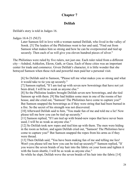# **Delilah**

Delilah's story is told in Judges 16.

#### Judges 16:4-21 (NLT)

Later Samson fell in love with a woman named Delilah, who lived in the valley of Sorek. [5] The leaders of the Philistines went to her and said, "Find out from Samson what makes him so strong and how he can be overpowered and tied up securely. Then each of us will give you eleven hundred pieces of silver."

The Philistines were ruled by five rulers, not just one. Each ruler ruled from a different city—Ashdod, Ashkelon, Ekron, Gath, or Gaza. Each of these cities was an important center for trade and commerce. Given Delilah's character, it is little wonder that she betrayed Samson when these rich and powerful men paid her a personal visit.

[6] So Delilah said to Samson, "Please tell me what makes you so strong and what it would take to tie you up securely."

[7] Samson replied, "If I am tied up with seven new bowstrings that have not yet been dried, I will be as weak as anyone else."

[8] So the Philistine leaders brought Delilah seven new bowstrings, and she tied Samson up with them. [9] She had hidden some men in one of the rooms of her house, and she cried out, "Samson! The Philistines have come to capture you!" But Samson snapped the bowstrings as if they were string that had been burned in a fire. So the secret of his strength was not discovered.

[10] Afterward Delilah said to him, "You made fun of me and told me a lie! Now please tell me how you can be tied up securely."

[11] Samson replied, "If I am tied up with brand-new ropes that have never been used, I will be as weak as anyone else."

[12] So Delilah took new ropes and tied him up with them. The men were hiding in the room as before, and again Delilah cried out, "Samson! The Philistines have come to capture you!" But Samson snapped the ropes from his arms as if they were thread.

[13] Then Delilah said, "You have been making fun of me and telling me lies! Won't you please tell me how you can be tied up securely?" Samson replied, "If you weave the seven braids of my hair into the fabric on your loom and tighten it with the loom shuttle, I will be as weak as anyone else."

So while he slept, Delilah wove the seven braids of his hair into the fabric [14]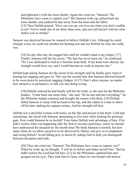and tightened it with the loom shuttle. Again she cried out, "Samson! The Philistines have come to capture you!" But Samson woke up, pulled back the loom shuttle, and yanked his hair away from the loom and the fabric. [15] Then Delilah pouted, "How can you say you love me when you don't confide in me? You've made fun of me three times now, and you still haven't told me what makes you so strong!"

Samson was deceived because he wanted to believe Delilah's lies. Although he could strangle a lion, he could not smother his burning lust and see Delilah for who she really was.

[16] So day after day she nagged him until he couldn't stand it any longer. [17] Finally, Samson told her his secret. "My hair has never been cut," he confessed, "for I was dedicated to God as a Nazirite from birth. If my head were shaved, my strength would leave me, and I would become as weak as anyone else."

Delilah kept asking Samson for the secret of his strength until he finally grew tired of hearing her nagging and gave in. This was the second time that Samson allowed himself to be worn down by persistent nagging (Judges 14:17). Don't allow anyone, no matter how attractive or persuasive, to talk you into doing wrong.

[18] Delilah realized he had finally told her the truth, so she sent for the Philistine leaders. "Come back one more time," she said, "for he has told me everything." So the Philistine leaders returned and brought the money with them. [19] Delilah lulled Samson to sleep with his head in her lap, and she called in a man to shave off his hair, making his capture certain. And his strength left him.

Delilah was a deceitful woman with honey on her lips and poison in her heart. Cold and calculating, she toyed with Samson, pretending to love him while looking for personal gain. How could Samson be so foolish? Four times Delilah took advantage of him. If he didn't realize what was happening after the first or second experience, surely he should have understood the situation by the fourth time! We think Samson is foolish, but how many times do we allow ourselves to be deceived by flattery and give in to temptation and wrong beliefs? Avoid falling prey to deceit by asking God to help you distinguish between deception and truth.

[20] Then she cried out, "Samson! The Philistines have come to capture you!" When he woke up, he thought, "I will do as before and shake myself free." But he didn't realize the Lord had left him. [21] So the Philistines captured him and gouged out his eyes. They took him to Gaza, where he was bound with bronze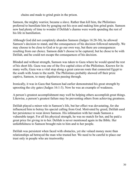chains and made to grind grain in the prison.

Samson, the mighty warrior, became a slave. Rather than kill him, the Philistines preferred to humiliate him by gouging out his eyes and making him grind grain. Samson now had plenty of time to wonder if Delilah's charms were worth spending the rest of his life in humiliation.

Although God did not completely abandon Samson (Judges 16:28-30), he allowed Samson's decision to stand, and the consequences of his decision followed naturally. We may choose to be close to God or to go our own way, but there are consequences resulting from our choice. Samson didn't choose to be captured, but he chose to be with Delilah, and he could not escape the consequences of his decision.

Blinded and without strength, Samson was taken to Gaza where he would spend the rest of his short life. Gaza was one of the five capital cities of the Philistines. Known for its many wells, Gaza was a vital stop along a great caravan route that connected Egypt to the south with Aram to the north. The Philistines probably showed off their prize captive, Samson, to many dignitaries passing through.

Ironically, it was in Gaza that Samson had earlier demonstrated his great strength by uprooting the city gates (Judges 16:1-3). Now he was an example of weakness.

A person's greatest accomplishment may well be helping others accomplish great things. Likewise, a person's greatest failure may be preventing others from achieving greatness.

Delilah played a minor role in Samson's life, but her effect was devastating, for she influenced him to betray his special calling from God. Motivated by greed, Delilah used her persistence to wear down Samson. His infatuation with her made Samson a vulnerable target. For all his physical strength, he was no match for her, and he paid a great price for giving in to her. Delilah is never mentioned again in the Bible. Her unfaithfulness to Samson brought ruin to him and to her people.

Delilah was persistent when faced with obstacles, yet she valued money more than relationships ad betrayed the man who trusted her. We need to be careful to place our trust only in people who are trustworthy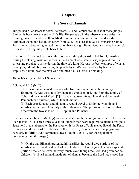### **The Story of Hannah**

Judges had ruled Israel for over 200 years. Eli and Samuel are the last of those judges. Samuel is born near the end of Eli's life. He grows up in the tabernacle as a priest-intraining under Eli and is well qualified to serve Israel as both a priest and a judge. Although the nation has fallen away from God, it is clear that God is preparing Samuel from the very beginning to lead the nation back to right living. God is always in control; he is able to bring his people back to him.

The book of 1 Samuel begins in the days when the judges still ruled Israel, possibly during the closing years of Samson's life. Samuel was Israel's last judge and the first priest and prophet to serve during the time of a king. He was the best example of what a good judge should be, governing the people by God's word and not by his own impulses. Samuel was the man who anointed Saul as Israel's first king.

Hannah's story is told in 1 Samuel 1-2

1 Samuel 1:1-6 (NLT)

There was a man named Elkanah who lived in Ramah in the hill country of Ephraim. He was the son of Jeroham and grandson of Elihu, from the family of Tohu and the clan of Zuph. [2] Elkanah had two wives, Hannah and Peninnah. Peninnah had children, while Hannah did not.

[3] Each year Elkanah and his family would travel to Shiloh to worship and sacrifice to the Lord Almighty at the Tabernacle. The priests of the Lord at that time were the two sons of Eli—Hophni and Phinehas.

The tabernacle (Tent of Meeting) was located at Shiloh, the religious center of the nation (see Joshua 18:1). Three times a year all Israelite men were required to attend a religious feast held at the tabernacle: the Passover with the Feast of Unleavened Bread, the Feast of Weeks, and the Feast of Tabernacles (Deut. 16:16). Elkanah made this pilgrimage regularly to fulfill God's commands. (See Exodus 23:14-17 for the regulations concerning the pilgrimage.)

[4] On the day Elkanah presented his sacrifice, he would give portions of the sacrifice to Peninnah and each of her children. [5] But he gave Hannah a special portion because he loved her very much, even though the Lord had given her no children. [6] But Peninnah made fun of Hannah because the Lord had closed her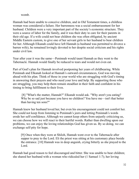womb.

Hannah had been unable to conceive children, and in Old Testament times, a childless woman was considered a failure. Her barrenness was a social embarrassment for her husband. Children were a very important part of the society's economic structure. They were a source of labor for the family, and it was their duty to care for their parents in their old age. If a wife could not bear children she was often obligated, by ancient Middle Eastern custom, to give one of her servant girls to her husband to bear children for her. Although Elkanah could have left Hannah (a husband was permitted to divorce a barren wife), he remained lovingly devoted to her despite social criticism and his rights under civil law.

Year after year it was the same—Peninnah would taunt Hannah as they went to the Tabernacle. Hannah would finally be reduced to tears and would not even eat.

Part of God's plan for Hannah involved postponing her years of childbearing. While Peninnah and Elkanah looked at Hannah's outward circumstances, God was moving ahead with his plan. Think of those in your world who are struggling with God's timing in answering their prayers and who need your love and help. By supporting those who are struggling, you may help them remain steadfast in their faith and confident in his timing to bring fulfillment to their lives.

 [8] "What's the matter, Hannah?" Elkanah would ask. "Why aren't you eating? Why be so sad just because you have no children? You have me—isn't that better than having ten sons?"

Hannah knew her husband loved her, but even his encouragement could not comfort her. She could not keep from listening to Peninnah's jeers and letting Peninnah's words erode her self-confidence. Although we cannot keep others from unjustly criticizing us, we can choose how we will react to their hurtful words. Rather than dwelling upon our problems, we can enjoy the loving relationships God has given us. By so doing, we can exchange self-pity for hope.

[9] Once when they were at Shiloh, Hannah went over to the Tabernacle after supper to pray to the Lord. Eli the priest was sitting at his customary place beside the entrance. [10] Hannah was in deep anguish, crying bitterly as she prayed to the Lord.

Hannah had good reason to feel discouraged and bitter. She was unable to bear children; she shared her husband with a woman who ridiculed her (1 Samuel 1:7); her loving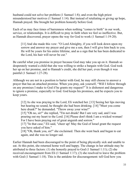husband could not solve her problem (1 Samuel 1:8); and even the high priest misunderstood her motives (1 Samuel 1:14). But instead of retaliating or giving up hope, Hannah prayed. She brought her problem honestly before God.

Each of us may face times of barrenness when nothing "comes to birth" in our work, service, or relationships. It is difficult to pray in faith when we feel so ineffective. But, as Hannah discovered, prayer opens the way for God to work (1 Samuel 1:19-20).

[11] And she made this vow: "O Lord Almighty, if you will look down upon my sorrow and answer my prayer and give me a son, then I will give him back to you. He will be yours for his entire lifetime, and as a sign that he has been dedicated to the Lord, his hair will never be cut."

Be careful what you promise in prayer because God may take you up on it. Hannah so desperately wanted a child that she was willing to strike a bargain with God. God took her up on her promise, and to Hannah's credit, she did her part, even though it was painful (1 Samuel 1:27-28).

Although we are not in a position to barter with God, he may still choose to answer a prayer that has an attached promise. When you pray, ask yourself, "Will I follow through on any promises I make to God if he grants my request?" It is dishonest and dangerous to ignore a promise, especially to God. God keeps his promises, and he expects you to keep yours.

[12] As she was praying to the Lord, Eli watched her. [13] Seeing her lips moving but hearing no sound, he thought she had been drinking. [14] "Must you come here drunk?" he demanded. "Throw away your wine!"

[15] "Oh no, sir!" she replied, "I'm not drunk! But I am very sad, and I was pouring out my heart to the Lord. [16] Please don't think I am a wicked woman! For I have been praying out of great anguish and sorrow."

[17] "In that case," Eli said, "cheer up! May the God of Israel grant the request you have asked of him."

[18] "Oh, thank you, sir!" she exclaimed. Then she went back and began to eat again, and she was no longer sad.

Earlier Hannah had been discouraged to the point of being physically sick and unable to eat. At this point, she returned home well and happy. The change in her attitude may be attributed to three factors: (1) she honestly prayed to God (1 Samuel 1:11); (2) she received encouragement from Eli (1 Samuel 1:17); (3) she resolved to leave the problem with God (1 Samuel 1:18). This is the antidote for discouragement: tell God how you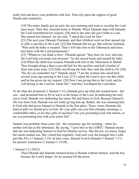really feel and leave your problems with him. Then rely upon the support of good friends and counselors.

[19] The entire family got up early the next morning and went to worship the Lord once more. Then they returned home to Ramah. When Elkanah slept with Hannah, the Lord remembered her request, [20] and in due time she gave birth to a son. She named him Samuel, for she said, "I asked the Lord for him."

[21] The next year Elkanah, Peninnah, and their children went on their annual trip to offer a sacrifice to the Lord. [22] But Hannah did not go. She told her husband, "Wait until the baby is weaned. Then I will take him to the Tabernacle and leave him there with the Lord permanently."

[23] "Whatever you think is best," Elkanah agreed. "Stay here for now, and may the Lord help you keep your promise." So she stayed home and nursed the baby. [24] When the child was weaned, Hannah took him to the Tabernacle in Shiloh. They brought along a three-year-old bull for the sacrifice and half a bushel of flour and some wine. [25] After sacrificing the bull, they took the child to Eli. [26] "Sir, do you remember me?" Hannah asked. "I am the woman who stood here several years ago praying to the Lord. [27] I asked the Lord to give me this child, and he has given me my request. [28] Now I am giving him to the Lord, and he will belong to the Lord his whole life." And they worshiped the Lord there.

To do what she promised (1 Samuel 1:11), Hannah gave up what she wanted most—her son—and presented him to Eli to serve in the house of the Lord. In dedicating her only son to God, Hannah was dedicating her entire life and future to God. Because Samuel's life was from God, Hannah was not really giving him up. Rather, she was returning him to God who had given Samuel to Hannah in the first place. These verses illustrate the kind of gifts we should give to God. Do your gifts cost you little (Sunday mornings, a comfortable tithe), or are they gifts of sacrifice? Are you presenting God with tokens, or are you presenting him with your entire life?

Samuel was probably three years old—the customary age for weaning—when his mother left him at the tabernacle. By saying, "I give him to the LORD," Hannah meant that she was dedicating Samuel to God for lifetime service. She did not, of course, forget her much-wanted son. She visited him regularly. And each year she brought him a robe just like Eli's (1 Samuel 2:19). In later years, Samuel lived in Ramah (1 Samuel 7:17), his parents' hometown (1 Samuel 1:19-20).

#### 1 Samuel 2:11 (NLT)

Then Elkanah and Hannah returned home to Ramah without Samuel. And the boy became the Lord's helper, for he assisted Eli the priest.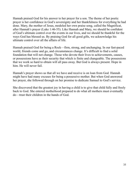Hannah praised God for his answer to her prayer for a son. The theme of her poetic prayer is her confidence in God's sovereignty and her thankfulness for everything he had done. Mary, the mother of Jesus, modeled her own praise song, called the Magnificat, after Hannah's prayer (Luke 1:46-55). Like Hannah and Mary, we should be confident of God's ultimate control over the events in our lives, and we should be thankful for the ways God has blessed us. By praising God for all good gifts, we acknowledge his ultimate control over all the affairs of life.

Hannah praised God for being a Rock—firm, strong, and unchanging. In our fast-paced world, friends come and go, and circumstances change. It's difficult to find a solid foundation that will not change. Those who devote their lives to achievements, causes, or possessions have as their security that which is finite and changeable. The possessions that we work so hard to obtain will all pass away. But God is always present. Hope in him. He will never fail.

Hannah's prayer shows us that all we have and receive is on loan from God. Hannah might have had many excuses for being a possessive mother. But when God answered her prayer, she followed through on her promise to dedicate Samuel to God's service.

She discovered that the greatest joy in having a child is to give that child fully and freely back to God. She entered motherhood prepared to do what all mothers must eventually do—trust their children in the hands of God.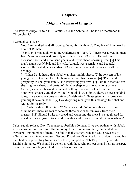### **Abigail, a Woman of Integrity**

The story of Abigail is told in 1 Samuel 25-2 and Samuel 2. She is also mentioned in 1 Chronicles 3:1.

#### 1 Samuel 25:1-42 (NLT)

Now Samuel died, and all Israel gathered for his funeral. They buried him near his home at Ramah.

Then David moved down to the wilderness of Maon. [2] There was a wealthy man from Maon who owned property near the village of Carmel. He had three thousand sheep and a thousand goats, and it was sheep-shearing time. [3] This man's name was Nabal, and his wife, Abigail, was a sensible and beautiful woman. But Nabal, a descendant of Caleb, was mean and dishonest in all his dealings.

[4] When David heard that Nabal was shearing his sheep, [5] he sent ten of his young men to Carmel. He told them to deliver this message: [6] "Peace and prosperity to you, your family, and everything you own! [7] I am told that you are shearing your sheep and goats. While your shepherds stayed among us near Carmel, we never harmed them, and nothing was ever stolen from them. [8] Ask your own servants, and they will tell you this is true. So would you please be kind to us, since we have come at a time of celebration? Please give us any provisions you might have on hand." [9] David's young men gave this message to Nabal and waited for his reply.

[10] "Who is this fellow David?" Nabal sneered. "Who does this son of Jesse think he is? There are lots of servants these days who run away from their masters. [11] Should I take my bread and water and the meat I've slaughtered for my shearers and give it to a band of outlaws who come from who knows where?"

Nabal rudely refused David's request to feed his 600 men. If we sympathize with Nabal, it is because customs are so different today. First, simple hospitality demanded that travelers—any number of them—be fed. Nabal was very rich and could have easily afforded to meet David's request. Second, David wasn't asking for a handout. He and his men had been protecting Nabal's work force, and part of Nabal's prosperity was due to David's vigilance. We should be generous with those who protect us and help us prosper, even if we are not obligated to do so by law or custom.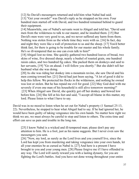[12] So David's messengers returned and told him what Nabal had said.

[13] "Get your swords!" was David's reply as he strapped on his own. Four hundred men started off with David, and two hundred remained behind to guard their equipment.

[14] Meanwhile, one of Nabal's servants went to Abigail and told her, "David sent men from the wilderness to talk to our master, and he insulted them. [15] But David's men were very good to us, and we never suffered any harm from them. Nothing was stolen from us the whole time they were with us. [16] In fact, day and night they were like a wall of protection to us and the sheep. [17] You'd better think fast, for there is going to be trouble for our master and his whole family. He's so ill-tempered that no one can even talk to him!"

[18] Abigail lost no time. She quickly gathered two hundred loaves of bread, two skins of wine, five dressed sheep, nearly a bushel of roasted grain, one hundred raisin cakes, and two hundred fig cakes. She packed them on donkeys and said to her servants, [19] "Go on ahead. I will follow you shortly." But she didn't tell her husband what she was doing.

[20] As she was riding her donkey into a mountain ravine, she saw David and his men coming toward her. [21] David had just been saying, "A lot of good it did to help this fellow. We protected his flocks in the wilderness, and nothing he owned was lost or stolen. But he has repaid me evil for good. [22] May God deal with me severely if even one man of his household is still alive tomorrow morning!" [23] When Abigail saw David, she quickly got off her donkey and bowed low before him. [24] She fell at his feet and said, "I accept all blame in this matter, my lord. Please listen to what I have to say.

David was in no mood to listen when he set out for Nabal's property (1 Samuel 25:13, 22). Nevertheless, he stopped to hear what Abigail had to say. If he had ignored her, he would have been guilty of taking vengeance into his own hands. No matter how right we think we are, we must always be careful to stop and listen to others. The extra time and effort can save us pain and trouble in the long run.

[25] I know Nabal is a wicked and ill-tempered man; please don't pay any attention to him. He is a fool, just as his name suggests. But I never even saw the messengers you sent.

[26] "Now, my lord, as surely as the Lord lives and you yourself live, since the Lord has kept you from murdering and taking vengeance into your own hands, let all your enemies be as cursed as Nabal is. [27] And here is a present I have brought to you and your young men. [28] Please forgive me if I have offended in any way. The Lord will surely reward you with a lasting dynasty, for you are fighting the Lord's battles. And you have not done wrong throughout your entire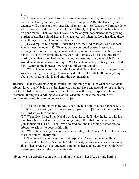life.

[29] "Even when you are chased by those who seek your life, you are safe in the care of the Lord your God, secure in his treasure pouch! But the lives of your enemies will disappear like stones shot from a sling! [30] When the Lord has done all he promised and has made you leader of Israel, [31] don't let this be a blemish on your record. Then you won't have to carry on your conscience the staggering burden of needless bloodshed and vengeance. And when the Lord has done these great things for you, please remember me!"

[32] David replied to Abigail, "Praise the Lord, the God of Israel, who has sent you to meet me today! [33] Thank God for your good sense! Bless you for keeping me from murdering the man and carrying out vengeance with my own hands. [34] For I swear by the Lord, the God of Israel, who has kept me from hurting you, that if you had not hurried out to meet me, not one of Nabal's men would be alive tomorrow morning." [35] Then David accepted her gifts and told her, "Return home in peace. We will not kill your husband."

[36] When Abigail arrived home, she found that Nabal had thrown a big party and was celebrating like a king. He was very drunk, so she didn't tell him anything about her meeting with David until the next morning.

Because Nabal was drunk, Abigail waited until morning to tell him what she had done. Abigail knew that Nabal, in his drunkenness, may not have understood her or may have reacted foolishly. When discussing difficult matters with people, especially family members, timing is everything. Ask God for wisdom to know the best time for confrontation and for bringing up touchy subjects.

[37] The next morning when he was sober, she told him what had happened. As a result he had a stroke, and he lay on his bed paralyzed. [38] About ten days later, the Lord struck him and he died.

[39] When David heard that Nabal was dead, he said, "Praise the Lord, who has paid back Nabal and kept me from doing it myself. Nabal has received the punishment for his sin." Then David wasted no time in sending messengers to Abigail to ask her to become his wife.

[40] When the messengers arrived at Carmel, they told Abigail, "David has sent us to ask if you will marry him."

[41] She bowed low to the ground and responded, "Yes, I am even willing to become a slave to David's servants!" [42] Quickly getting ready, she took along five of her servant girls as attendants, mounted her donkey, and went with David's messengers. And so she became his wife.

Abigail was an effective counselor to both of the men in her life, working hard to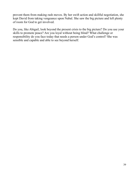prevent them from making rash moves. By her swift action and skillful negotiation, she kept David from taking vengeance upon Nabal. She saw the big picture and left plenty of room for God to get involved.

Do you, like Abigail, look beyond the present crisis to the big picture? Do you use your skills to promote peace? Are you loyal without being blind? What challenge or responsibility do you face today that needs a person under God's control? She was sensible and capable and able to see beyond herself.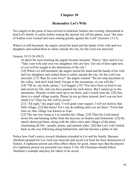## **Remember Lot's Wife**

Two angels in the guise of men arrived in nefarious Sodom one evening, determined to lead Lot's family to safety before wiping the ancient city off the planet, since "the men of Sodom were wicked and were sinning greatly against the Lord" (Genesis 13:13).

When Lot still hesitated, the angels seized his hand and the hands of his wife and two daughters and rushed them to safety outside the city, for the Lord was merciful.

Genesis 19:15-26 (NLT)

At dawn the next morning the angels became insistent. "Hurry," they said to Lot. "Take your wife and your two daughters who are here. Get out of here right now, or you will be caught in the destruction of the city."

[16] When Lot still hesitated, the angels seized his hand and the hands of his wife and two daughters and rushed them to safety outside the city, for the Lord was merciful. [17] "Run for your lives!" the angels warned. "Do not stop anywhere in the valley. And don't look back! Escape to the mountains, or you will die." [18] "Oh no, my lords, please," Lot begged. [19] "You have been so kind to me and saved my life, and you have granted me such mercy. But I cannot go to the mountains. Disaster would catch up to me there, and I would soon die. [20] See, there is a small village nearby. Please let me go there instead; don't you see how small it is? Then my life will be saved."

[21] "All right," the angel said, "I will grant your request. I will not destroy that little village. [22] But hurry! For I can do nothing until you are there." From that time on, that village was known as Zoar.

[23] The sun was rising as Lot reached the village. [24] Then the Lord rained down fire and burning sulfur from the heavens on Sodom and Gomorrah. [25] He utterly destroyed them, along with the other cities and villages of the plain, eliminating all life—people, plants, and animals alike. [26] But Lot's wife looked back as she was following along behind him, and she became a pillar of salt.

Notice how God's mercy toward Abraham extended to Lot and his family. Because Abraham pleaded for Lot, God was merciful and saved Lot from the fiery destruction of Sodom. A righteous person can often affect others for good. James says that the prayers of a righteous person are powerful (see James 5:16). All Christians should follow Abraham's example and pray for others to be saved.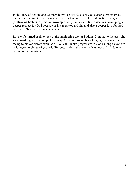In the story of Sodom and Gomorrah, we see two facets of God's character: his great patience (agreeing to spare a wicked city for ten good people) and his fierce anger (destroying both cities). As we grow spiritually, we should find ourselves developing a deeper respect for God because of his anger toward sin, and also a deeper love for God because of his patience when we sin.

Lot's wife turned back to look at the smoldering city of Sodom. Clinging to the past, she was unwilling to turn completely away. Are you looking back longingly at sin while trying to move forward with God? You can't make progress with God as long as you are holding on to pieces of your old life. Jesus said it this way in Matthew 6:24: "No one can serve two masters."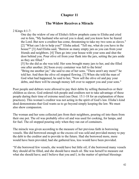## **The Widow Receives a Miracle**

2 Kings 4:1-7:

One day the widow of one of Elisha's fellow prophets came to Elisha and cried out to him, "My husband who served you is dead, and you know how he feared the Lord. But now a creditor has come, threatening to take my two sons as slaves." [2] "What can I do to help you?" Elisha asked. "Tell me, what do you have in the house?" [3] And Elisha said, "Borrow as many empty jars as you can from your friends and neighbors. [4] Then go into your house with your sons and shut the door behind you. Pour olive oil from your flask into the jars, setting the jars aside as they are filled."

[5] So she did as she was told. Her sons brought many jars to her, and she filled one after another. [6] Soon every container was full to the brim! "Bring me another jar," she said to one of her sons. "There aren't any more!" he told her. And then the olive oil stopped flowing. [7] When she told the man of God what had happened, he said to her, "Now sell the olive oil and pay your debts, and there will be enough money left over to support you and your sons."

Poor people and debtors were allowed to pay their debts by selling themselves or their children as slaves. God ordered rich people and creditors not to take advantage of these people during their time of extreme need (see Deut. 15:1-18 for an explanation of these practices). This woman's creditor was not acting in the spirit of God's law. Elisha's kind deed demonstrates that God wants us to go beyond simply keeping the law. We must also show compassion.

The woman and her sons collected jars from their neighbors, pouring oil into them from their one pot. The oil was probably olive oil and was used for cooking, for lamps, and for fuel. The oil stopped pouring only when they ran out of containers.

The miracle was given according to the measure of her previous faith in borrowing vessels. She did borrowed enough so the excess oil was sold and provided money to pay the debt to the creditor and to provide to the future. Had she borrowed more, more would have been provided; had she gathered less, less would have been provided.

"If she borrowed few vessels, she would have but little oil; if she borrowed many vessels they should all be filled, and she should have much oil. She was herself to measure out what she should have; and I believe that you and I, in the matter of spiritual blessings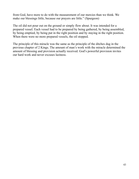from God, have more to do with the measurement of our mercies than we think. We make our blessings little, because our prayers are little." (Spurgeon)

The oil did not pour out on the ground or simply flow about. It was intended for a prepared vessel. Each vessel had to be prepared by being gathered, by being assembled, by being emptied, by being put in the right position and by staying in the right position. When there were no more prepared vessels, the oil stopped.

The principle of this miracle was the same as the principle of the ditches dug in the previous chapter of 2 Kings. The amount of man's work with the miracle determined the amount of blessing and provision actually received. God's powerful provision invites our hard work and never excuses laziness.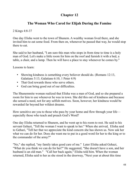## **The Woman Who Cared for Elijah During the Famine**

2 Kings 4:8-37

One day Elisha went to the town of Shunem. A wealthy woman lived there, and she invited him to eat some food. From then on, whenever he passed that way, he would stop there to eat.

She said to her husband, "I am sure this man who stops in from time to time is a holy man of God. Let's make a little room for him on the roof and furnish it with a bed, a table, a chair, and a lamp. Then he will have a place to stay whenever he comes by."

Lessons to learn:

- Showing kindness is something every believer should do. (Romans 12:13, Galatians 5:13, Galatians 6:10, 1 Peter 4:9)
- That God rewards those who serve others.
- God can bring good out of our difficulties.

The Shunemmite woman realized that Elisha was a man of God, and so she prepared a room for him to use whenever he was in town. She did this out of kindness and because she sensed a need, not for any selfish motives. Soon, however, her kindness would be rewarded far beyond her wildest dreams.

How sensitive are you to those who pass by your home and flow through your life especially those who teach and preach God's Word?

One day Elisha returned to Shunem, and he went up to his room to rest. He said to his servant Gehazi, "Tell the woman I want to speak to her." When she arrived, Elisha said to Gehazi, "Tell her that we appreciate the kind concern she has shown us. Now ask her what we can do for her. Does she want me to put in a good word for her to the king or to the commander of the army?"

"No," she replied, "my family takes good care of me." Later Elisha asked Gehazi, "What do you think we can do for her?" He suggested, "She doesn't have a son, and her husband is an old man." "Call her back again," Elisha told him. When the woman returned, Elisha said to her as she stood in the doorway, "Next year at about this time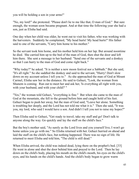you will be holding a son in your arms!"

"No, my lord!" she protested. "Please don't lie to me like that, O man of God." But sure enough, the woman soon became pregnant. And at that time the following year she had a son, just as Elisha had said.

One day when her child was older, he went out to visit his father, who was working with the harvesters. Suddenly he complained, "My head hurts! My head hurts!" His father said to one of the servants, "Carry him home to his mother."

So the servant took him home, and his mother held him on her lap. But around noontime he died. She carried him up to the bed of the man of God, then shut the door and left him there. She sent a message to her husband: "Send one of the servants and a donkey so that I can hurry to the man of God and come right back."

"Why today?" he asked. "It is neither a new moon festival nor a Sabbath." But she said, "It's all right." So she saddled the donkey and said to the servant, "Hurry! Don't slow down on my account unless I tell you to." As she approached the man of God at Mount Carmel, Elisha saw her in the distance. He said to Gehazi, "Look, the woman from Shunem is coming. Run out to meet her and ask her, 'Is everything all right with you, with your husband, and with your child?' "

"Yes," the woman told Gehazi, "everything is fine." But when she came to the man of God at the mountain, she fell to the ground before him and caught hold of his feet. Gehazi began to push her away, but the man of God said, "Leave her alone. Something is troubling her deeply, and the Lord has not told me what it is." Then she said, "It was you, my lord, who said I would have a son. And didn't I tell you not to raise my hopes?"

Then Elisha said to Gehazi, "Get ready to travel; take my staff and go! Don't talk to anyone along the way. Go quickly and lay the staff on the child's face."

But the boy's mother said, "As surely as the Lord lives and you yourself live, I won't go home unless you go with me." So Elisha returned with her. Gehazi hurried on ahead and laid the staff on the child's face, but nothing happened. There was no sign of life. He returned to meet Elisha and told him, "The child is still dead."

When Elisha arrived, the child was indeed dead, lying there on the prophet's bed. [33] He went in alone and shut the door behind him and prayed to the Lord. Then he lay down on the child's body, placing his mouth on the child's mouth, his eyes on the child's eyes, and his hands on the child's hands. And the child's body began to grow warm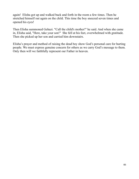again! Elisha got up and walked back and forth in the room a few times. Then he stretched himself out again on the child. This time the boy sneezed seven times and opened his eyes!

Then Elisha summoned Gehazi. "Call the child's mother!" he said. And when she came in, Elisha said, "Here, take your son!" She fell at his feet, overwhelmed with gratitude. Then she picked up her son and carried him downstairs.

Elisha's prayer and method of raising the dead boy show God's personal care for hurting people. We must express genuine concern for others as we carry God's message to them. Only then will we faithfully represent our Father in heaven.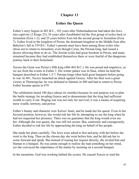## **Esther the Queen**

Esther's story begins in 483 B.C., 103 years after Nebuchadnezzar had taken the Jews into captivity (2 Kings 25), 54 years after Zerubbabel led the first group of exiles back to Jerusalem (Ezra 1-2), and 25 years before Ezra led the second group to Jerusalem (Ezra 7). Esther lived in the kingdom of Persia, the dominant kingdom in the Middle East after Babylon's fall in 539 B.C. Esther's parents must have been among those exiles who chose not to return to Jerusalem, even though Cyrus, the Persian king, had issued a decree allowing them to do so. The Jewish exiles had great freedom in Persia, and many remained because they had established themselves there or were fearful of the dangerous journey back to their homeland.

Xerxes the Great was Persia's fifth king (486-465 B.C.). He was proud and impulsive, as we see from the events in Esther 1. His winter palace was in Susa, where he held the banquet described in Esther 1:3-7. Persian kings often held great banquets before going to war. In 481, Xerxes launched an attack against Greece. After his fleet won a great victory at Thermopylae, he was defeated at Salamis in 480 and had to return to Persia. Esther became queen in 479.

The celebration lasted 180 days (about six months) because its real purpose was to plan the battle strategy for invading Greece and to demonstrate that the king had sufficient wealth to carry it out. Waging war was not only for survival; it was a means of acquiring more wealth, territory, and power.

Esther's beauty and character won Xerxes' heart, and he made her his queen. Even in her favored position, however, she would risk her life by attempting to see the king when he had not requested her presence. There was no guarantee that the king would even see her. Although she was queen, she was still not secure. But, cautiously and courageously, Esther decided to risk her life by approaching the king on behalf of her people.

She made her plans carefully. The Jews were asked to fast and pray with her before she went to the king. Then on the chosen day she went before him, and he did ask her to come forward and speak. But instead of issuing her request directly, she invited him and Haman to a banquet. He was astute enough to realize she had something on her mind, yet she conveyed the importance of the matter by insisting on a second banquet.

In the meantime, God was working behind the scenes. He caused Xerxes to read the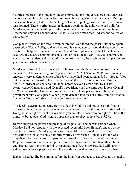historical records of the kingdom late one night, and the king discovered that Mordecai had once saved his life. Xerxes lost no time in honoring Mordecai for that act. During the second banquet, Esther told the king of Haman's plot against the Jews, and Haman was doomed. There is grim justice in Haman's death on the gallows he had built for Mordecai, and it seems fitting that the day on which the Jews were to be slaughtered became the day their enemies died. Esther's risk confirmed that God was the source of her security.

God placed Esther on the throne even before the Jews faced the possibility of complete destruction (Esther 3:5ff), so that when trouble came, a person would already be in the position to help. No human effort could thwart God's plan to send the Messiah to earth as a Jew. If you are changing jobs, position, or location and can't see God's purpose in your situation, understand that God is in control. He may be placing you in a position so you can help when the need arises.

Mordecai refused to kneel down before Haman. Jews did bow down to government authorities, at times, as a sign of respect (Genesis 23:7; 1 Samuel 24:8), but Haman's ancestors were ancient enemies of the Jews. Israel had been commanded by God to "blot out the memory of Amalek from under heaven" (Deut. 25:17-19; see also Exodus 17:16). Mordecai was not about to kneel before wicked Haman and, by his act, acknowledge Haman as a god. Daniel's three friends had the same convictions (Daniel 3). We must worship God alone. We should never let any person, institution, or government take God's place. When people demand loyalties or duties from you that do not honor God, don't give in. It may be time to take a stand.

Mordecai's determination came from his faith in God. He did not take a poll first to determine the safest or most popular course of action; he had the courage to stand-alone. Doing what is right will not always make you popular. Those who do right will be in the minority, but to obey God is more important than to obey people (Acts 5:29).

Haman enjoyed the power and prestige of his position, and he was enraged when Mordecai did not respond with the expected reverential bow. Haman's anger was not directed just toward Mordecai, but toward what Mordecai stood for—the Jews' dedication to God as the only authority worthy of reverence. Haman's attitude was prejudiced: he hated a group of people because of a difference in belief or culture. Prejudice grows out of personal pride—considering oneself better than others. In the end, Haman was punished for his arrogant attitude (Esther 7:9-10). God will harshly judge those who are prejudiced or whose pride causes them to look down on others.

Esther risked her life by coming before the king. Her courageous act gives us a model to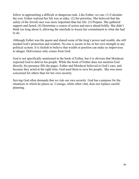follow in approaching a difficult or dangerous task. Like Esther, we can: (1) Calculate the cost. Esther realized her life was at stake. (2) Set priorities. She believed that the safety of the Jewish race was more important than her life. (3) Prepare. She gathered support and fasted. (4) Determine a course of action and move ahead boldly. She didn't think too long about it, allowing the interlude to lessen her commitment to what she had to do.

Although Esther was the queen and shared some of the king's power and wealth, she still needed God's protection and wisdom. No one is secure in his or her own strength in any political system. It is foolish to believe that wealth or position can make us impervious to danger. Deliverance only comes from God.

God is not specifically mentioned in the book of Esther, but it is obvious that Mordecai expected God to deliver his people. While the book of Esther does not mention God directly, his presence fills the pages. Esther and Mordecai believed in God's care, and because they acted at the right time, God used them to save his people. She was more concerned for others than for her own security

Serving God often demands that we risk our own security God has a purpose for the situations in which he places us Courage, while often vital, does not replace careful planning.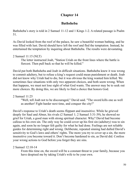# **Bathsheba**

Bathsheba's story is told in 2 Samuel 11-12 and 1 Kings 1-2. A related passage is Psalm 51.

As David looked from the roof of the palace, he saw a beautiful woman bathing, and he was filled with lust. David should have left the roof and fled the temptation. Instead, he entertained the temptation by inquiring about Bathsheba. The results were devastating.

2 Samuel 11:15 (NLT)

The letter instructed Joab, "Station Uriah on the front lines where the battle is fiercest. Then pull back so that he will be killed."

David put both Bathsheba and Joab in difficult situations. Bathsheba knew it was wrong to commit adultery, but to refuse a king's request could mean punishment or death. Joab did not know why Uriah had to die, but it was obvious the king wanted him killed. We sometimes face situations with only two apparent choices, and both seem wrong. When that happens, we must not lose sight of what God wants. The answer may be to seek out more choices. By doing this, we are likely to find a choice that honors God.

2 Samuel 11:25

"Well, tell Joab not to be discouraged," David said. "The sword kills one as well as another! Fight harder next time, and conquer the city!"

David's response to Uriah's death seems flippant and insensitive. While he grieved deeply for Saul and Abner, his rivals (2 Samuel 1; 2 Samuel 3:31-39), he showed no grief for Uriah, a good man with strong spiritual character. Why? David had become callous to his own sin. The only way he could cover up his first sin (adultery) was to sin again, and soon he no longer felt guilty for what he had done. Feelings are not reliable guides for determining right and wrong. Deliberate, repeated sinning had dulled David's sensitivity to God's laws and others' rights. The more you try to cover up a sin, the more insensitive you become toward it. Don't become hardened to sin, as David did. Confess your wrong actions to God before you forget they are sins.

2 Samuel 12:10-14

From this time on, the sword will be a constant threat to your family, because you have despised me by taking Uriah's wife to be your own.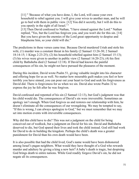[11] " 'Because of what you have done, I, the Lord, will cause your own household to rebel against you. I will give your wives to another man, and he will go to bed with them in public view. [12] You did it secretly, but I will do this to you openly in the sight of all Israel.' "

[13] Then David confessed to Nathan, "I have sinned against the Lord." Nathan replied, "Yes, but the Lord has forgiven you, and you won't die for this sin. [14] But you have given the enemies of the Lord great opportunity to despise and blaspheme him, so your child will die."

The predictions in these verses came true. Because David murdered Uriah and stole his wife, (1) murder was a constant threat in his family (2 Samuel 13:26-30; 2 Samuel 18:14-15; 1 Kings 2:23-25); (2) his household rebelled against him (2 Samuel 15:13); (3) his wives were given to another in public view (2 Samuel 16:20-23); (4) his first child by Bathsheba died (2 Samuel 12:18). If David had known the painful consequences of his sin, he might not have pursued the pleasures of the moment.

During this incident, David wrote Psalm 51, giving valuable insight into his character and offering hope for us as well. No matter how miserable guilt makes you feel or how terribly you have sinned, you can pour out your heart to God and seek his forgiveness as David did. There is forgiveness for us when we sin. David also wrote Psalm 32 to express the joy he felt after he was forgiven.

David confessed and repented of his sin (2 Samuel 12:13), but God's judgment was that his child would die. The consequences of David's sin were irreversible. Sometimes an apology isn't enough. When God forgives us and restores our relationship with him, he doesn't eliminate all the consequences of our wrongdoing. We may be tempted to say, "If this is wrong, I can always apologize to God," but we must remember that we may set into motion events with irreversible consequences.

Why did this child have to die? This was not a judgment on the child for being conceived out of wedlock, but a judgment on David for his sin. David and Bathsheba deserved to die, but God spared their lives and took the child instead. God still had work for David to do in building the kingdom. Perhaps the child's death was a greater punishment for David than his own death would have been.

It is also possible that had the child lived, God's name would have been dishonored among Israel's pagan neighbors. What would they have thought of a God who rewards murder and adultery by giving a king a new heir? A baby's death is tragic, but despising God brings death to entire nations. While God readily forgave David's sin, he did not negate all its consequences.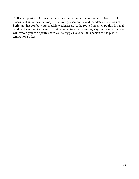To flee temptation, (1) ask God in earnest prayer to help you stay away from people, places, and situations that may tempt you. (2) Memorize and meditate on portions of Scripture that combat your specific weaknesses. At the root of most temptation is a real need or desire that God can fill, but we must trust in his timing. (3) Find another believer with whom you can openly share your struggles, and call this person for help when temptation strikes.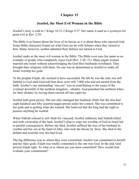## **Jezebel, the Most Evil Woman in the Bible**

Jezebel's story is told in 1 Kings 16:31-2 Kings 9:37. Her name is used as a synonym for great evil in Rev. 2:20.

The Bible is as honest about the lives of its heroes as it is about those who rejected God. Some Bible characters found out what God can do with failures when they turned to him. Many, however, neither admitted their failures nor turned to God.

Jezebel ranks as the most evil woman in the Bible. The Bible even uses her name as an example of people who completely reject God (Rev. 2:20, 21). Many pagan women married into Israel without acknowledging the God their husbands worshiped. They brought their religions with them. No one was as determined as Jezebel to make all Israel worship her gods.

To the prophet Elijah, she seemed to have succeeded. He felt he was the only one still faithful to God until God told him there were still 7,000 who had not turned from the faith. Jezebel's one outstanding "success" was in contributing to the cause of the eventual downfall of the northern kingdom—idolatry. God punished the northern tribes for their idolatry by having them carried off into captivity.

Jezebel held great power. She not only managed her husband, Ahab, but she also had eight hundred and fifty assorted pagan priests under her control. She was committed to her gods and to getting what she wanted. She believed that the king had the right to possess anything he wanted.

When Naboth refused to sell Ahab his vineyard, Jezebel ruthlessly had Naboth killed and took ownership of the land. Jezebel's plan to wipe out worship of God in Israel led to painful consequences. Before she died, Jezebel suffered the loss of her husband in combat and her son at the hand of Jehu, who took the throne by force. She died in the defiant and scornful way she had lived.

The big difference was to whom they were committed. Jezebel was committed to herself and her false gods; Elijah was totally committed to the one true God. In the end, God proved Elijah right. To what or to whom are you most committed? How would God evaluate your commitment?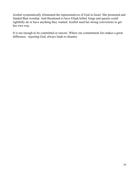Jezebel systematically eliminated the representatives of God in Israel. She promoted and funded Baal worship. And threatened to have Elijah killed. kings and queens could rightfully do or have anything they wanted. Jezebel used her strong convictions to get her own way.

It is not enough to be committed or sincere. Where our commitment lies makes a great difference. rejecting God, always leads to disaster.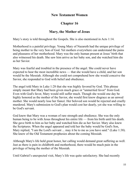### **New Testament Women**

# **Chapter 16**

## **Mary, the Mother of Jesus**

Mary's story is told throughout the Gospels. She is also mentioned in Acts 1:14.

Motherhood is a painful privilege. Young Mary of Nazareth had the unique privilege of being mother to the very Son of God. Yet mothers everywhere can understand the pains and pleasures of her motherhood. Mary was the only human present at Jesus' birth that also witnessed his death. She saw him arrive as her baby son, and she watched him die as her Savior.

Mary was fearful and troubled in the presence of the angel. She could never have expected to hear the most incredible news — that she would have a child, and her son would be the Messiah. Although she could not comprehend how she would conceive the Savior, she responded to God with belief and obedience.

The angel told Mary in Luke 1:28 that she was highly favored by God. This phrase simply meant that Mary had been given much grace or "unmerited favor" from God. Even with God's favor, Mary would still suffer much. Though she would one day be highly honored as the mother of the Savior, she would first know disgrace as an unwed mother. She would nearly lose her fiancé. Her beloved son would be rejected and cruelly murdered. Mary's submission to God's plan would cost her dearly, yet she was willing to be God's servant.

God knew that Mary was a woman of rare strength and obedience. She was the only human being to be with Jesus throughout his entire life — from his birth until his death. She gave birth to him as her baby and watched him die as her Savior. Mary also knew the Scriptures. When the angel appeared and told her the baby would be God's Son, Mary replied, "I am the Lord's servant ... may it be to me as you have said." (Luke 1:38). She knew of the Old Testament prophesies about the coming Messiah.

Although Mary's life held great honor, her calling would demand great suffering as well. Just as there is pain in childbirth and motherhood, there would be much pain in the privilege of being the mother of the Messiah.

Until Gabriel's unexpected visit, Mary's life was quite satisfactory. She had recently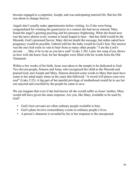become engaged to a carpenter, Joseph, and was anticipating married life. But her life was about to change forever.

Angels don't usually make appointments before visiting. As if she were being congratulated for winning the grand prize in a contest she had never entered, Mary found the angel's greeting puzzling and his presence frightening. What she heard next was the news almost every woman in Israel hoped to hear—that her child would be the Messiah, God's promised Savior. Mary did not doubt the message, but rather asked how pregnancy would be possible. Gabriel told her the baby would be God's Son. Her answer was the one God waits in vain to hear from so many other people: "I am the Lord's servant... May it be to me as you have said" (Luke 1:38). Later, her song of joy shows us how well she knew God, for her thoughts were filled with his words from the Old Testament.

Within a few weeks of his birth, Jesus was taken to the temple to be dedicated to God. Two devout people, Simeon and Anna, who recognized the child as the Messiah and praised God, met Joseph and Mary. Simeon directed some words to Mary that must have come to her mind many times in the years that followed: "A sword will pierce your own soul" (Luke 2:35). A big part of her painful privilege of motherhood would be to see her son rejected and crucified by the people he came to save.

We can imagine that even if she had known all she would suffer as Jesus' mother, Mary would still have given the same response. Are you, like Mary, available to be used by God?

- God's best servants are often ordinary people available to him.
- God's plans involve extraordinary events in ordinary people's lives.
- A person's character is revealed by his or her response to the unexpected.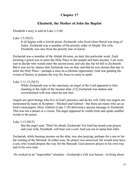## **Elizabeth, the Mother of John the Baptist**

Elizabeth's story is told in Luke 1:5-80.

#### Luke 1:5 (NLT)

It all begins with a Jewish priest, Zechariah, who lived when Herod was king of Judea. Zechariah was a member of the priestly order of Abijah. His wife, Elizabeth, was also from the priestly line of Aaron.

Zechariah was a member of the Abijah division, on duty this particular week. Each morning a priest was to enter the Holy Place in the temple and burn incense. Lots were cast to decide who would enter the sacred room, and one day the lot fell to Zechariah. But it was not by chance that Zechariah was on duty and that he was chosen that day to enter the Holy Place—perhaps a once-in-a-lifetime opportunity. God was guiding the events of history to prepare the way for Jesus to come to earth.

### Luke 1:11-12 (NLT)

While Zechariah was in the sanctuary, an angel of the Lord appeared to him, standing to the right of the incense altar. [12] Zechariah was shaken and overwhelmed with fear when he saw him

Angels are spirit beings who live in God's presence and do his will. Only two angels are mentioned by name in Scripture—Michael and Gabriel—but there are many who act as God's messengers. Here, Gabriel (Luke 1:19) delivered a special message to Zechariah. This was not a dream or a vision. The angel appeared in visible form and spoke audible words to the priest.

#### Luke 1:13 (NLT)

But the angel said, "Don't be afraid, Zechariah! For God has heard your prayer, and your wife, Elizabeth, will bear you a son! And you are to name him John.

Zechariah, while burning incense on the altar, was also praying, perhaps for a son or for the coming of the Messiah. In either case, his prayer was answered. He would soon have a son, who would prepare the way for the Messiah. God answers prayer in his own way and in his own time.

He worked in an "impossible" situation—Zechariah's wife was barren—to bring about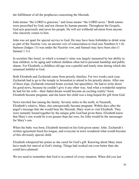the fulfillment of all the prophecies concerning the Messiah.

John means "the LORD is gracious," and Jesus means "the LORD saves." Both names were prescribed by God, and not chosen by human parents. Throughout the Gospels, God acts graciously and saves his people. He will not withhold salvation from anyone who sincerely comes to him.

John was set apart for special service to God. He may have been forbidden to drink wine as part of the Nazirite vow, an ancient vow of consecration to God (see Numbers 6:1-8). Samson (Judges 13) was under the Nazirite vow, and Samuel may have been also (1 Samuel 1:11).

In societies like Israel, in which a woman's value was largely measured by her ability to bear children, to be aging and without children often led to personal hardship and public shame. For Elizabeth, a childless old age was a painful and lonely time during which she remained faithful to God.

Both Elizabeth and Zechariah came from priestly families. For two weeks each year, Zechariah had to go to the temple in Jerusalem to attend to his priestly duties. After one of those trips, Zechariah returned home excited, but speechless. He had to write down his good news, because he couldn't give it any other way. And what a wonderful surprise he had for his wife—their faded dream would become an exciting reality! Soon Elizabeth became pregnant, and she knew her child was a long-hoped-for gift from God.

News traveled fast among the family. Seventy miles to the north, in Nazareth, Elizabeth's relative, Mary, also unexpectedly became pregnant. Within days after the angel's message that she would bear the Messiah, Mary went to visit Elizabeth. They were instantly bound together by the unique gifts God had given them. Elizabeth knew that Mary's son would be even greater than her own, for John would be the messenger for Mary's son.

When the baby was born, Elizabeth insisted on his God-given name: John. Zechariah's written agreement freed his tongue, and everyone in town wondered what would become of this obviously special child.

Elizabeth whispered her praise as she cared for God's gift. Knowing about Mary must have made her marvel at God's timing. Things had worked out even better than she could have planned.

We too need to remember that God is in control of every situation. When did you last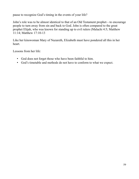pause to recognize God's timing in the events of your life?

John's role was to be almost identical to that of an Old Testament prophet—to encourage people to turn away from sin and back to God. John is often compared to the great prophet Elijah, who was known for standing up to evil rulers (Malachi 4:5; Matthew 11:14; Matthew 17:10-13

Like her kinswoman Mary of Nazareth, Elizabeth must have pondered all this in her heart.

Lessons from her life:

- God does not forget those who have been faithful to him.
- God's timetable and methods do not have to conform to what we expect.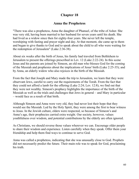### **Anna the Prophetess**

"There was also a prophetess, Anna the daughter of Phanuel, of the tribe of Asher. She was very old, having been married to her husband for seven years until his death. She had lived as a widow since then for eighty-four years. She never left the temple, worshiping with fasting and prayer night and day. At that moment, she came up to them and began to give thanks to God and to speak about the child to all who were waiting for the redemption of Jerusalem" (Luke 2:36-38).

About six weeks after the birth of Jesus, his family had traveled from Bethlehem to Jerusalem to present the offerings prescribed in Lev. 12 (Luke 2:22-24). In this scene Jesus and his parents are joined by Simeon, an old man who blesses God for the coming of the Messiah and prophesies about the implications of Jesus' birth (Luke 2:25-35); and by Anna, an elderly widow who also rejoices in the birth of the Messiah.

From the fact that Joseph and Mary made the trip to Jerusalem, we learn that they were observant Jews, careful to carry out the requirements of the Torah. From the fact that they could not afford a lamb for the offering (Luke 2:24; Lev. 12:8), we find out that they were not wealthy. Simeon's prophecy highlights the importance of the birth of the Messiah as well as the trials and challenges that Jews in general – and Mary in particular – would face as a result of that birth.

Although Simeon and Anna were very old, they had never lost their hope that they would see the Messiah. Led by the Holy Spirit, they were among the first to bear witness to Jesus. In the Jewish culture, elders were respected, so because of Simeon's and Anna's age, their prophecies carried extra weight. Our society, however, values youthfulness over wisdom, and potential contributions by the elderly are often ignored.

As Christians, we should reverse those values wherever we can. Encourage older people to share their wisdom and experience. Listen carefully when they speak. Offer them your friendship and help them find ways to continue to serve God.

Anna was called a prophetess, indicating that she was unusually close to God. Prophets did not necessarily predict the future. Their main role was to speak for God, proclaiming his truth.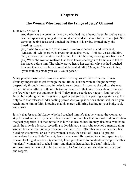## **The Woman Who Touched the Fringe of Jesus' Garment**

#### Luke 8:43-48 (NLT)

And there was a woman in the crowd who had had a hemorrhage for twelve years. She had spent everything she had on doctors and still could find no cure. [44] She came up behind Jesus and touched the fringe of his robe. Immediately, the bleeding stopped.

[45] "Who touched me?" Jesus asked. Everyone denied it, and Peter said, "Master, this whole crowd is pressing up against you." [46] But Jesus told him, "No, someone deliberately touched me, for I felt healing power go out from me." [47] When the woman realized that Jesus knew, she began to tremble and fell to her knees before him. The whole crowd heard her explain why she had touched him and that she had been immediately healed. [48] "Daughter," he said to her, "your faith has made you well. Go in peace."

Many people surrounded Jesus as he made his way toward Jairus's house. It was virtually impossible to get through the multitude, but one woman fought her way desperately through the crowd in order to touch Jesus. As soon as she did so, she was healed. What a difference there is between the crowds that are curious about Jesus and the few who reach out and touch him! Today, many people are vaguely familiar with Jesus, but nothing in their lives is changed or bettered by this passing acquaintance. It is only faith that releases God's healing power. Are you just curious about God, or do you reach out to him in faith, knowing that his mercy will bring healing to your body, soul, and spirit?

It isn't that Jesus didn't know who had touched him; it's that he wanted the woman to step forward and identify herself. Jesus wanted to teach her that his cloak did not contain magical properties, but that her faith in him had healed her. He may also have wanted to teach the crowds a lesson. According to Jewish law, a man who touched a menstruating woman became ceremonially unclean (Leviticus 15:19-28). This was true whether her bleeding was normal or, as in this woman's case, the result of illness. To protect themselves from such defilement, Jewish men carefully avoided touching, speaking to, or even looking at women. By contrast, Jesus proclaimed to hundreds of people that this "unclean" woman had touched him—and then he healed her. In Jesus' mind, this suffering woman was not to be overlooked. As God's creation, she deserved attention and respect.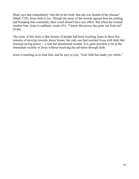Mark says that immediately "she felt in her body that she was healed of her disease" (Mark 5:29). Jesus feels it too. Though the press of the crowds against him are jostling and bumping him constantly, their touch doesn't have any effect. But when the woman touches him, Jesus is suddenly aware of it: "I know that power has gone out from me"  $(8:46)$ .

The irony of this story is that dozens of people had been touching Jesus in these few minutes of moving towards Jairus' house, but only one had touched Jesus with faith that released saving power -- a sick but determined woman. It is quite possible to be in the immediate vicinity of Jesus without receiving his salvation through faith.

Jesus is teaching us to trust him, and he says to you, "Your faith has made you whole."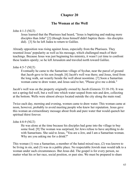## **The Woman at the Well**

John 4:1-3 (NLT)

Jesus learned that the Pharisees had heard, "Jesus is baptizing and making more disciples than John" [2] (though Jesus himself didn't baptize them—his disciples did). [3] So he left Judea to return to Galilee.

Already opposition was rising against Jesus, especially from the Pharisees. They resented Jesus' popularity as well as his message, which challenged much of their teachings. Because Jesus was just beginning his ministry, it wasn't yet time to confront these leaders openly; so he left Jerusalem and traveled north toward Galilee.

John 4:5-7 (NLT)

Eventually he came to the Samaritan village of Sychar, near the parcel of ground that Jacob gave to his son Joseph. [6] Jacob's well was there; and Jesus, tired from the long walk, sat wearily beside the well about noontime. [7] Soon a Samaritan woman came to draw water, and Jesus said to her, "Please give me a drink."

Jacob's well was on the property originally owned by Jacob (Genesis 33:18-19). It was not a spring-fed well, but a well into which water seeped from rain and dew, collecting at the bottom. Wells were almost always located outside the city along the main road.

Twice each day, morning and evening, women came to draw water. This woman came at noon, however, probably to avoid meeting people who knew her reputation. Jesus gave this woman an extraordinary message about fresh and pure water that would quench her spiritual thirst forever.

#### John 4:8-9 (NLT)

He was alone at the time because his disciples had gone into the village to buy some food. [9] The woman was surprised, for Jews refuse to have anything to do with Samaritans. She said to Jesus, "You are a Jew, and I am a Samaritan woman. Why are you asking me for a drink?"

This woman (1) was a Samaritan, a member of the hated mixed race, (2) was known to be living in sin, and (3) was in a public place. No respectable Jewish man would talk to a woman under such circumstances. But Jesus did. The gospel is for every person, no matter what his or her race, social position, or past sins. We must be prepared to share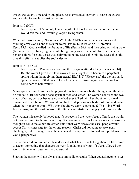this gospel at any time and in any place. Jesus crossed all barriers to share the gospel, and we who follow him must do no less.

#### John 4:10 (NLT)

Jesus replied, "If you only knew the gift God has for you and who I am, you would ask me, and I would give you living water."

What did Jesus mean by "living water?" In the Old Testament, many verses speak of thirsting after God as one thirsts for water (Psalm 42:1; Isaiah 55:1; Jeremiah 2:13; Zech. 13:1). God is called the fountain of life (Psalm 36:9) and the spring of living water (Jeremiah 17:13). In saying he would bring living water that could forever quench a person's thirst for God, Jesus was claiming to be the Messiah. Only the Messiah could give this gift that satisfies the soul's desire.

### John 4:13-15 (NLT)

Jesus replied, "People soon become thirsty again after drinking this water. [14] But the water I give them takes away thirst altogether. It becomes a perpetual spring within them, giving them eternal life." [15] "Please, sir," the woman said, "give me some of that water! Then I'll never be thirsty again, and I won't have to come here to haul water."

Many spiritual functions parallel physical functions. As our bodies hunger and thirst, so do our souls. But our souls need spiritual food and water. The woman confused the two kinds of water, perhaps because no one had ever talked with her about her spiritual hunger and thirst before. We would not think of depriving our bodies of food and water when they hunger or thirst. Why then should we deprive our souls? The living Word, Jesus Christ, and the written Word, the Bible, can satisfy our hungry and thirsty souls.

The woman mistakenly believed that if she received the water Jesus offered, she would not have to return to the well each day. She was interested in Jesus' message because she thought it could make her life easier. But if that were always the case, people would accept Christ's message for the wrong reasons. Christ did not come to take away challenges, but to change us on the inside and to empower us to deal with problems from God's perspective.

The woman did not immediately understand what Jesus was talking about. It takes time to accept something that changes the very foundations of your life. Jesus allowed the woman time to ask questions to understand.

Sharing the gospel will not always have immediate results. When you ask people to let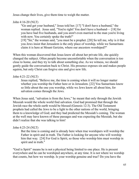Jesus change their lives, give them time to weigh the matter.

### John 4:16-20 (NLT)

"Go and get your husband," Jesus told her. [17] "I don't have a husband," the woman replied. Jesus said, "You're right! You don't have a husband— [18] for you have had five husbands, and you aren't even married to the man you're living with now. You certainly spoke the truth!"

[19] "Sir," the woman said, "you must be a prophet. [20] So tell me, why is it that you Jews insist that Jerusalem is the only place of worship, while we Samaritans claim it is here at Mount Gerizim, where our ancestors worshiped?"

When this woman discovered that Jesus knew all about her private life, she quickly changed the subject. Often people become uncomfortable when the conversation is too close to home, and they try to talk about something else. As we witness, we should gently guide the conversation back to Christ. His presence exposes sin and makes people squirm, but only Christ can forgive sins and give new life.

#### John 4:21-22 (NLT)

Jesus replied, "Believe me, the time is coming when it will no longer matter whether you worship the Father here or in Jerusalem. [22] You Samaritans know so little about the one you worship, while we Jews know all about him, for salvation comes through the Jews.

When Jesus said, "salvation is from the Jews," he meant that only through the Jewish Messiah would the whole world find salvation. God had promised that through the Jewish race the whole earth would be blessed (Genesis 12:3). The Old Testament prophets had called the Jews to be a light to the other nations of the world, bringing them to a knowledge of God; and they had predicted the Messiah's coming. The woman at the well may have known of these passages and was expecting the Messiah, but she didn't realize that she was talking to him!

### John 4:23-24 (NLT)

But the time is coming and is already here when true worshipers will worship the Father in spirit and in truth. The Father is looking for anyone who will worship him that way. [24] For God is Spirit, so those who worship him must worship in spirit and in truth."

"God is Spirit" means he is not a physical being limited to one place. He is present everywhere and he can be worshiped anywhere, at any time. It is not where we worship that counts, but how we worship. Is your worship genuine and true? Do you have the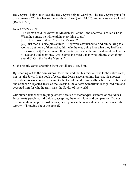Holy Spirit's help? How does the Holy Spirit help us worship? The Holy Spirit prays for us (Romans 8:26), teaches us the words of Christ (John 14:26), and tells us we are loved (Romans 5:5).

John 4:25-29 (NLT)

The woman said, "I know the Messiah will come—the one who is called Christ. When he comes, he will explain everything to us."

[26] Then Jesus told her, "I am the Messiah!"

[27] Just then his disciples arrived. They were astonished to find him talking to a woman, but none of them asked him why he was doing it or what they had been discussing. [28] The woman left her water jar beside the well and went back to the village and told everyone, [29] "Come and meet a man who told me everything I ever did! Can this be the Messiah?"

So the people came streaming from the village to see him.

By reaching out to the Samaritans, Jesus showed that his mission was to the entire earth, not just the Jews. In the book of Acts, after Jesus' ascension into heaven, his apostles carried on his work in Samaria and to the Gentile world. Ironically, while the High Priest and Sanhedrin rejected Jesus as the Messiah, the outcast Samaritans recognized him and accepted him for who he truly was: the Savior of the world

Our human tendency is to judge others because of stereotypes, customs or prejudices. Jesus treats people as individuals, accepting them with love and compassion. Do you dismiss certain people as lost causes, or do you see them as valuable in their own right, worthy of knowing about the gospel?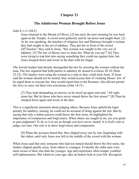### **The Adulterous Woman Brought Before Jesus**

#### John 8:1-11 (NLT)

Jesus returned to the Mount of Olives, [2] but early the next morning he was back again at the Temple. A crowd soon gathered, and he sat down and taught them. [3] As he was speaking, the teachers of religious law and Pharisees brought a woman they had caught in the act of adultery. They put her in front of the crowd. [4]"Teacher," they said to Jesus, "this woman was caught in the very act of adultery. [5] The law of Moses says to stone her. What do you say?" [6] They were trying to trap him into saying something they could use against him, but Jesus stooped down and wrote in the dust with his finger.

The Jewish leaders had already disregarded the law by arresting the woman without the man. The law required that both parties to adultery be stoned (Leviticus 20:10; Deut. 22:22). The leaders were using the woman as a trap so they could trick Jesus. If Jesus said the woman should not be stoned, they would accuse him of violating Moses' law. If he urged them to execute her, they would report him to the Romans, who did not permit the Jews to carry out their own executions (John 18:31).

[7] They kept demanding an answer, so he stood up again and said, "All right, stone her. But let those who have never sinned throw the first stones!" [8] Then he stooped down again and wrote in the dust.

This is a significant statement about judging others. Because Jesus upheld the legal penalty for adultery, stoning, he could not be accused of being against the law. But by saying that only a sinless person could throw the first stone, he highlighted the importance of compassion and forgiveness. When others are caught in sin, are you quick to pass judgment? To do so is to act as though you have never sinned. It is God's role to judge, not ours. Our role is to show forgiveness and compassion.

[9] When the accusers heard this, they slipped away one by one, beginning with the oldest, until only Jesus was left in the middle of the crowd with the woman.

When Jesus said that only someone who had not sinned should throw the first stone, the leaders slipped quietly away, from oldest to youngest. Evidently the older men were more aware of their sins than the younger. Age and experience often temper youthful self-righteousness. But whatever your age, take an honest look at your life. Recognize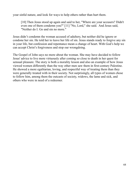your sinful nature, and look for ways to help others rather than hurt them.

[10] Then Jesus stood up again and said to her, "Where are your accusers? Didn't even one of them condemn you?" [11] "No, Lord," she said. And Jesus said, "Neither do I. Go and sin no more."

Jesus didn't condemn the woman accused of adultery, but neither did he ignore or condone her sin. He told her to leave her life of sin. Jesus stands ready to forgive any sin in your life, but confession and repentance mean a change of heart. With God's help we can accept Christ's forgiveness and stop our wrongdoing.

The Gospel of John says no more about the woman. She may have decided to follow Jesus' advice to live more virtuously after coming so close to death in her quest for sensual pleasure. The story is both a morality lesson and also an example of how Jesus viewed women differently than the way other men saw them in first-century Palestine. He showed a more egalitarian, loving, and respectful way of treating them than they were generally treated with in their society. Not surprisingly, all types of women chose to follow him, among them the outcasts of society, widows, the lame and sick, and others who were in need of a redeemer.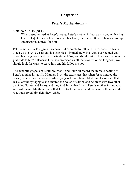### **Peter's Mother-in-Law**

#### Matthew 8:14-15 (NLT)

When Jesus arrived at Peter's house, Peter's mother-in-law was in bed with a high fever. [15] But when Jesus touched her hand, the fever left her. Then she got up and prepared a meal for him.

Peter's mother-in-law gives us a beautiful example to follow. Her response to Jesus' touch was to serve Jesus and his disciples—immediately. Has God ever helped you through a dangerous or difficult situation? If so, you should ask, "How can I express my gratitude to him?" Because God has promised us all the rewards of his kingdom, we should look for ways to serve him and his followers now.

The synoptic gospels of Matthew, Mark, and Luke all record the miracle healing of Peter's mother-in-law. In Matthew 8:14, the text states that when Jesus entered the house, he saw Peter's mother-in-law lying sick with fever. Mark and Luke state that Jesus left the synagogue and entered the house of Simon and Andrew with two other disciples (James and John), and they told Jesus that Simon Peter's mother-in-law was sick with fever. Matthew states that Jesus took her hand, and the fever left her and she rose and served him (Matthew 8:15).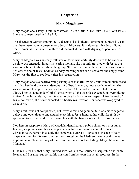# **Mary Magdalene**

Mary Magdalene's story is told in Matthew 27-28; Mark 15-16; Luke 23-24; John 19-20. She is also mentioned in Luke 8:2.

The absence of women among the 12 disciples has bothered some people, but it is clear that there were many women among Jesus' followers. It is also clear that Jesus did not treat women as others in his culture did; he treated them with dignity, as people with worth.

Mary of Magdala was an early follower of Jesus who certainly deserves to be called a disciple. An energetic, impulsive, caring woman, she not only traveled with Jesus, but also contributed to the needs of the group. She was present at the crucifixion and was on her way to anoint Jesus' body on Sunday morning when she discovered the empty tomb. Mary was the first to see Jesus after his resurrection.

Mary Magdalene is a heartwarming example of thankful living. Jesus miraculously freed her life when he drove seven demons out of her. In every glimpse we have of her, she was acting out her appreciation for the freedom Christ had given her. That freedom allowed her to stand under Christ's cross when all the disciples except John were hiding in fear. After Jesus' death, she intended to give his body every respect. Like the rest of Jesus' followers, she never expected his bodily resurrection—but she was overjoyed to discover it.

Mary's faith was not complicated, but it was direct and genuine. She was more eager to believe and obey than to understand everything. Jesus honored her childlike faith by appearing to her first and by entrusting her with the first message of his resurrection.

Nowhere in scripture is Mary of Magdala identified as a public sinner or a prostitute. Instead, scripture shows her as the primary witness to the most central events of Christian faith, named in exactly the same way (Maria e Magdalena) in each of four gospels written for diverse communities throughout the Mediterranean world. It was impossible to relate the story of the Resurrection without including "Mary, the one from Magdala."

Luke 8,1-3 tells us that Mary traveled with Jesus in the Galilean discipleship and, with Joanna and Susanna, supported his mission from her own financial resources. In the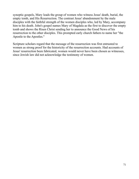synoptic gospels, Mary leads the group of women who witness Jesus' death, burial, the empty tomb, and His Resurrection. The contrast Jesus' abandonment by the male disciples with the faithful strength of the women disciples who, led by Mary, accompany him to his death. John's gospel names Mary of Magdala as the first to discover the empty tomb and shows the Risen Christ sending her to announce the Good News of his resurrection to the other disciples. This prompted early church fathers to name her "the Apostle to the Apostles."

Scripture scholars regard that the message of the resurrection was first entrusted to women as strong proof for the historicity of the resurrection accounts. Had accounts of Jesus' resurrection been fabricated, women would never have been chosen as witnesses, since Jewish law did not acknowledge the testimony of women.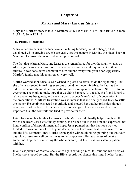# **Martha and Mary (Lazarus' Sisters)**

Mary and Martha's story is told in Matthew 26:6-13; Mark 14:3-9; Luke 10:38-42; John 11:17-45; John 12:1-11.

#### **The Profile of Martha:**

Many older brothers and sisters have an irritating tendency to take charge, a habit developed while growing up. We can easily see this pattern in Martha, the older sister of Mary and Lazarus. She was used to being in control.

The fact that Martha, Mary, and Lazarus are remembered for their hospitality takes on added significance when we note that hospitality was a social requirement in their culture. It was considered shameful to turn anyone away from your door. Apparently Martha's family met this requirement very well.

Martha worried about details. She wished to please, to serve, to do the right thing—but she often succeeded in making everyone around her uncomfortable. Perhaps as the oldest she feared shame if her home did not measure up to expectations. She tried to do everything she could to make sure that wouldn't happen. As a result, she found it hard to relax and enjoy her guests, and even harder to accept Mary's lack of cooperation in all the preparations. Martha's frustration was so intense that she finally asked Jesus to settle the matter. He gently corrected her attitude and showed her that her priorities, though good, were not the best. The personal attention she gave her guests should be more important than the comforts she tried to provide for them.

Later, following her brother Lazarus's death, Martha could hardly help being herself. When she heard Jesus was finally coming, she rushed out to meet him and expressed her inner conflict of disappointment and hope. Jesus pointed out that her hope was too limited. He was not only Lord beyond death, he was Lord over death—the resurrection and the life! Moments later, Martha again spoke without thinking, pointing out that fourday-old corpses are well on their way to decomposition. Her awareness of details sometimes kept her from seeing the whole picture, but Jesus was consistently patient with her.

In our last picture of Martha, she is once again serving a meal to Jesus and his disciples. She has not stopped serving. But the Bible records her silence this time. She has begun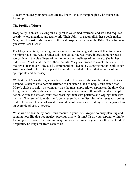to learn what her younger sister already knew—that worship begins with silence and listening.

### **The Profile of Mary:**

Hospitality is an art. Making sure a guest is welcomed, warmed, and well fed requires creativity, organization, and teamwork. Their ability to accomplish these goals makes Mary and her sister Martha one of the best hospitality teams in the Bible. Their frequent guest was Jesus Christ.

For Mary, hospitality meant giving more attention to the guest himself than to the needs he might have. She would rather talk than cook. She was more interested in her guest's words than in the cleanliness of her home or the timeliness of her meals. She let her older sister Martha take care of those details. Mary's approach to events shows her to be mainly a "responder." She did little preparation—her role was participation. Unlike her sister, who had to learn to stop and listen, Mary needed to learn that action is often appropriate and necessary.

We first meet Mary during a visit Jesus paid to her home. She simply sat at his feet and listened. When Martha became irritated at her sister's lack of help, Jesus stated that Mary's choice to enjoy his company was the most appropriate response at the time. Our last glimpse of Mary shows her to have become a woman of thoughtful and worshipful action. Again she was at Jesus' feet, washing them with perfume and wiping them with her hair. She seemed to understand, better even than the disciples, why Jesus was going to die. Jesus said her act of worship would be told everywhere, along with the gospel, as an example of costly service.

What kind of hospitality does Jesus receive in your life? Are you so busy planning and running your life that you neglect precious time with him? Or do you respond to him by listening to his Word, then finding ways to worship him with your life? It is that kind of hospitality he longs for from each of us.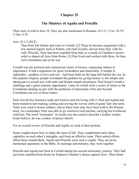# **Chapter 25**

## **The Ministry of Aquila and Priscilla**

Their story is told in Acts 18. They are also mentioned in Romans 16:3-5; 1 Cor. 16:19; 2 Tim. 4:19.

### Acts 18:1-3 (NLT)

Then Paul left Athens and went to Corinth. [2] There he became acquainted with a Jew named Aquila, born in Pontus, who had recently arrived from Italy with his wife, Priscilla. They had been expelled from Italy as a result of Claudius Caesar's order to deport all Jews from Rome. [3] Paul lived and worked with them, for they were tentmakers just as he was.

Corinth was the political and commercial center of Greece, surpassing Athens in importance. It had a reputation for great wickedness and immorality. A temple to Aphrodite—goddess of love and war—had been built on the large hill behind the city. In this popular religion, people worshiped the goddess by giving money to the temple and taking part in sexual acts with male and female temple prostitutes. Paul found Corinth a challenge and a great ministry opportunity. Later, he would write a series of letters to the Corinthians dealing in part with the problems of immorality. First and Second Corinthians are two of those letters.

Each Jewish boy learned a trade and tried to earn his living with it. Paul and Aquila had been trained in tent making, cutting and sewing the woven cloth of goats' hair into tents. Tents were used to house soldiers, and so these tents may have been sold to the Roman army. As a tentmaker, Paul was able to go wherever God led him, carrying his livelihood with him. The word "tentmaker" in Greek was also used to describe a leather worker. Some believe, he was a maker of prayer shawls

For an overall review of Priscilla and Aquila we look at their portrait.

Some couples know how to make the most of life. They complement each other, capitalize on each other's strengths, and form an effective team. Their united efforts affect those around them. Aquila and Priscilla were such a couple. They are never mentioned separately in the Bible. In marriage and ministry, they were together.

Priscilla and Aquila met Paul in Corinth during his second missionary journey. They had just been expelled from Rome by Emperor Claudius's decree against Jews. Their home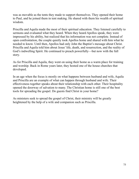was as movable as the tents they made to support themselves. They opened their home to Paul, and he joined them in tent making. He shared with them his wealth of spiritual wisdom.

Priscilla and Aquila made the most of their spiritual education. They listened carefully to sermons and evaluated what they heard. When they heard Apollos speak, they were impressed by his ability, but realized that his information was not complete. Instead of open confrontation, the couple quietly took Apollos home and shared with him what he needed to know. Until then, Apollos had only John the Baptist's message about Christ. Priscilla and Aquila told him about Jesus' life, death, and resurrection, and the reality of God's indwelling Spirit. He continued to preach powerfully—but now with the full story.

As for Priscilla and Aquila, they went on using their home as a warm place for training and worship. Back in Rome years later, they hosted one of the house churches that developed.

In an age when the focus is mostly on what happens between husband and wife, Aquila and Priscilla are an example of what can happen through husband and wife. Their effectiveness together speaks about their relationship with each other. Their hospitality opened the doorway of salvation to many. The Christian home is still one of the best tools for spreading the gospel. Do guests find Christ in your home?

As ministers seek to spread the gospel of Christ, their ministry will be greatly heightened by the help of a wife and companion such as Priscilla.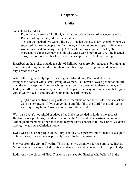### **Chapter 26**

# **Lydia**

#### Acts 16:12-15 (NLT)

From there we reached Philippi, a major city of the district of Macedonia and a Roman colony; we stayed there several days.

[13] On the Sabbath we went a little way outside the city to a riverbank, where we supposed that some people met for prayer, and we sat down to speak with some women who had come together. [14] One of them was Lydia from Thyatira, a merchant of expensive purple cloth. She was a worshiper of God. As she listened to us, the Lord opened her heart, and she accepted what Paul was saying.

Inscribed on the arches outside the city of Philippi was a prohibition against bringing an unrecognized religion into the city; therefore, this prayer meeting was held outside the city, beside the river.

After following the Holy Spirit's leading into Macedonia, Paul made his first evangelistic contact with a small group of women. Paul never allowed gender or cultural boundaries to keep him from preaching the gospel. He preached to these women, and Lydia, an influential merchant, believed. This opened the way for ministry in that region. God often worked in and through women in the early church.

[15]She was baptized along with other members of her household, and she asked us to be her guests. "If you agree that I am faithful to the Lord," she said, "come and stay at my home." And she urged us until we did.

Why was Lydia's household baptized after Lydia responded in faith to the gospel? Baptism was a public sign of identification with Christ and the Christian community. Although all members of her household may not have chosen to follow Christ (we don't know), it was now a Christian home.

Lydia was a dealer of purple cloth. Purple cloth was expensive and valuable as a sign of nobility or royalty so she was probably a wealthy businesswoman.

She was from the city of Thyatira. This small city was known for its commerce in Asia Minor. It was in an area noted for its abundant crops and the manufacture of purple dye.

Lydia was a worshiper of God. This term was used for Gentiles who believed in the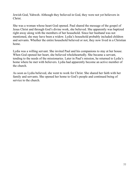Jewish God, Yahweh. Although they believed in God, they were not yet believers in Christ.

She was a woman whose heart God opened. Paul shared the message of the gospel of Jesus Christ and through God's divine work, she believed. She apparently was baptized right away along with the members of her household. Since her husband was not mentioned, she may have been a widow. Lydia's household probably included children and servants. Whether the entire household believed or not, they now lived in a Christian home.

Lydia was a willing servant. She invited Paul and his companions to stay at her house. When God opened her heart, she believed wholeheartedly. She became a servant, tending to the needs of the missionaries. Later in Paul's mission, he returned to Lydia's home where he met with believers. Lydia had apparently become an active member of the church.

As soon as Lydia believed, she went to work for Christ. She shared her faith with her family and servants. She opened her home to God's people and continued being of service to the church.